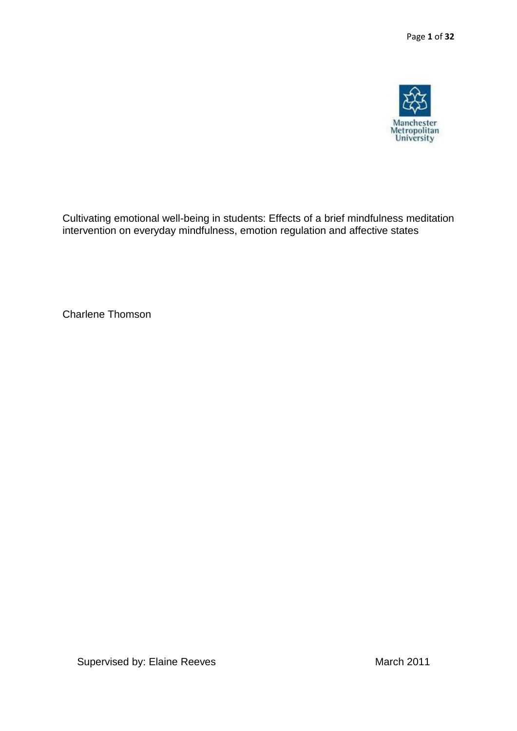

Cultivating emotional well-being in students: Effects of a brief mindfulness meditation intervention on everyday mindfulness, emotion regulation and affective states

Charlene Thomson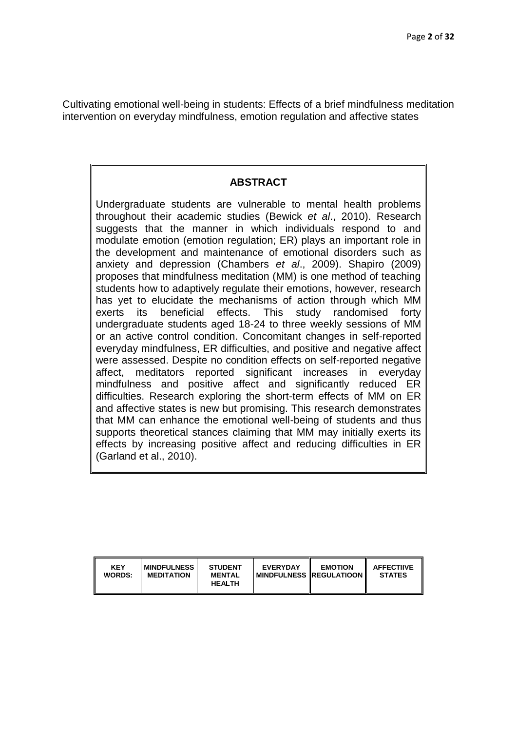Cultivating emotional well-being in students: Effects of a brief mindfulness meditation intervention on everyday mindfulness, emotion regulation and affective states

### **ABSTRACT**

Undergraduate students are vulnerable to mental health problems throughout their academic studies (Bewick *et al*., 2010). Research suggests that the manner in which individuals respond to and modulate emotion (emotion regulation; ER) plays an important role in the development and maintenance of emotional disorders such as anxiety and depression (Chambers *et al*., 2009). Shapiro (2009) proposes that mindfulness meditation (MM) is one method of teaching students how to adaptively regulate their emotions, however, research has yet to elucidate the mechanisms of action through which MM exerts its beneficial effects. This study randomised forty undergraduate students aged 18-24 to three weekly sessions of MM or an active control condition. Concomitant changes in self-reported everyday mindfulness, ER difficulties, and positive and negative affect were assessed. Despite no condition effects on self-reported negative affect, meditators reported significant increases in everyday mindfulness and positive affect and significantly reduced ER difficulties. Research exploring the short-term effects of MM on ER and affective states is new but promising. This research demonstrates that MM can enhance the emotional well-being of students and thus supports theoretical stances claiming that MM may initially exerts its effects by increasing positive affect and reducing difficulties in ER (Garland et al., 2010).

| <b>KEY</b><br>WORDS: | <b>MINDFULNESS</b><br><b>MEDITATION</b> | <b>STUDENT</b><br><b>MENTAL</b><br><b>HEALTH</b> | <b>EVERYDAY</b><br><b>MINDFULNESS IREGULATIOON</b> | <b>EMOTION</b> | <b>AFFECTIIVE</b><br><b>STATES</b> |
|----------------------|-----------------------------------------|--------------------------------------------------|----------------------------------------------------|----------------|------------------------------------|
|----------------------|-----------------------------------------|--------------------------------------------------|----------------------------------------------------|----------------|------------------------------------|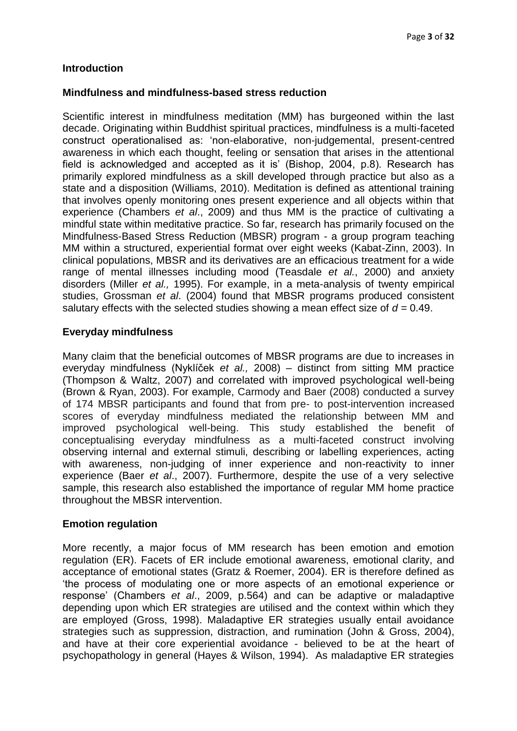# **Introduction**

### **Mindfulness and mindfulness-based stress reduction**

Scientific interest in mindfulness meditation (MM) has burgeoned within the last decade. Originating within Buddhist spiritual practices, mindfulness is a multi-faceted construct operationalised as: 'non-elaborative, non-judgemental, present-centred awareness in which each thought, feeling or sensation that arises in the attentional field is acknowledged and accepted as it is' (Bishop, 2004, p.8). Research has primarily explored mindfulness as a skill developed through practice but also as a state and a disposition (Williams, 2010). Meditation is defined as attentional training that involves openly monitoring ones present experience and all objects within that experience (Chambers *et al*., 2009) and thus MM is the practice of cultivating a mindful state within meditative practice. So far, research has primarily focused on the Mindfulness-Based Stress Reduction (MBSR) program - a group program teaching MM within a structured, experiential format over eight weeks (Kabat-Zinn, 2003). In clinical populations, MBSR and its derivatives are an efficacious treatment for a wide range of mental illnesses including mood (Teasdale *et al.*, 2000) and anxiety disorders (Miller *et al.,* 1995). For example, in a meta-analysis of twenty empirical studies, Grossman *et al*. (2004) found that MBSR programs produced consistent salutary effects with the selected studies showing a mean effect size of *d =* 0.49.

# **Everyday mindfulness**

Many claim that the beneficial outcomes of MBSR programs are due to increases in everyday mindfulness (Nyklíček *et al.,* 2008) – distinct from sitting MM practice (Thompson & Waltz, 2007) and correlated with improved psychological well-being (Brown & Ryan, 2003). For example, Carmody and Baer (2008) conducted a survey of 174 MBSR participants and found that from pre- to post-intervention increased scores of everyday mindfulness mediated the relationship between MM and improved psychological well-being. This study established the benefit of conceptualising everyday mindfulness as a multi-faceted construct involving observing internal and external stimuli, describing or labelling experiences, acting with awareness, non-judging of inner experience and non-reactivity to inner experience (Baer *et al*., 2007). Furthermore, despite the use of a very selective sample, this research also established the importance of regular MM home practice throughout the MBSR intervention.

#### **Emotion regulation**

More recently, a major focus of MM research has been emotion and emotion regulation (ER). Facets of ER include emotional awareness, emotional clarity, and acceptance of emotional states (Gratz & Roemer, 2004). ER is therefore defined as 'the process of modulating one or more aspects of an emotional experience or response' (Chambers *et al*., 2009, p.564) and can be adaptive or maladaptive depending upon which ER strategies are utilised and the context within which they are employed (Gross, 1998). Maladaptive ER strategies usually entail avoidance strategies such as suppression, distraction, and rumination (John & Gross, 2004), and have at their core experiential avoidance - believed to be at the heart of psychopathology in general (Hayes & Wilson, 1994). As maladaptive ER strategies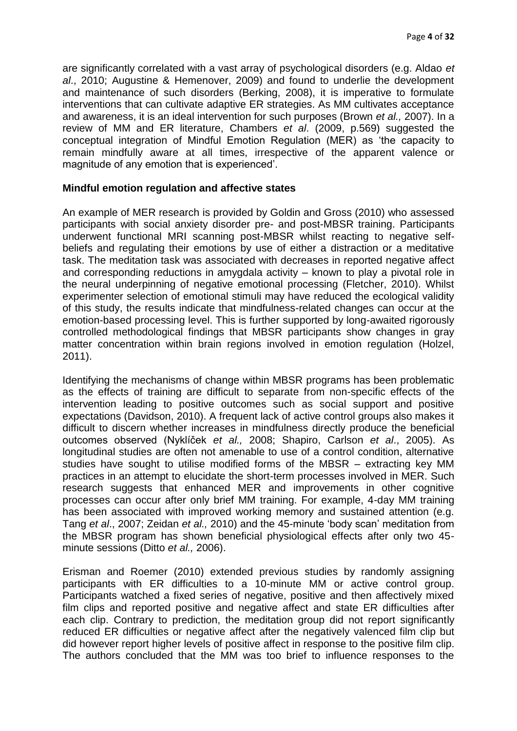are significantly correlated with a vast array of psychological disorders (e.g. Aldao *et al*., 2010; Augustine & Hemenover, 2009) and found to underlie the development and maintenance of such disorders (Berking, 2008), it is imperative to formulate interventions that can cultivate adaptive ER strategies. As MM cultivates acceptance and awareness, it is an ideal intervention for such purposes (Brown *et al.,* 2007). In a review of MM and ER literature, Chambers *et al*. (2009, p.569) suggested the conceptual integration of Mindful Emotion Regulation (MER) as 'the capacity to remain mindfully aware at all times, irrespective of the apparent valence or magnitude of any emotion that is experienced'.

# **Mindful emotion regulation and affective states**

An example of MER research is provided by Goldin and Gross (2010) who assessed participants with social anxiety disorder pre- and post-MBSR training. Participants underwent functional MRI scanning post-MBSR whilst reacting to negative selfbeliefs and regulating their emotions by use of either a distraction or a meditative task. The meditation task was associated with decreases in reported negative affect and corresponding reductions in amygdala activity – known to play a pivotal role in the neural underpinning of negative emotional processing (Fletcher, 2010). Whilst experimenter selection of emotional stimuli may have reduced the ecological validity of this study, the results indicate that mindfulness-related changes can occur at the emotion-based processing level. This is further supported by long-awaited rigorously controlled methodological findings that MBSR participants show changes in gray matter concentration within brain regions involved in emotion regulation (Holzel, 2011).

Identifying the mechanisms of change within MBSR programs has been problematic as the effects of training are difficult to separate from non-specific effects of the intervention leading to positive outcomes such as social support and positive expectations (Davidson, 2010). A frequent lack of active control groups also makes it difficult to discern whether increases in mindfulness directly produce the beneficial outcomes observed (Nyklíček *et al.,* 2008; Shapiro, Carlson *et al*., 2005). As longitudinal studies are often not amenable to use of a control condition, alternative studies have sought to utilise modified forms of the MBSR – extracting key MM practices in an attempt to elucidate the short-term processes involved in MER. Such research suggests that enhanced MER and improvements in other cognitive processes can occur after only brief MM training. For example, 4-day MM training has been associated with improved working memory and sustained attention (e.g. Tang *et al*., 2007; Zeidan *et al.,* 2010) and the 45-minute 'body scan' meditation from the MBSR program has shown beneficial physiological effects after only two 45 minute sessions (Ditto *et al.,* 2006).

Erisman and Roemer (2010) extended previous studies by randomly assigning participants with ER difficulties to a 10-minute MM or active control group. Participants watched a fixed series of negative, positive and then affectively mixed film clips and reported positive and negative affect and state ER difficulties after each clip. Contrary to prediction, the meditation group did not report significantly reduced ER difficulties or negative affect after the negatively valenced film clip but did however report higher levels of positive affect in response to the positive film clip. The authors concluded that the MM was too brief to influence responses to the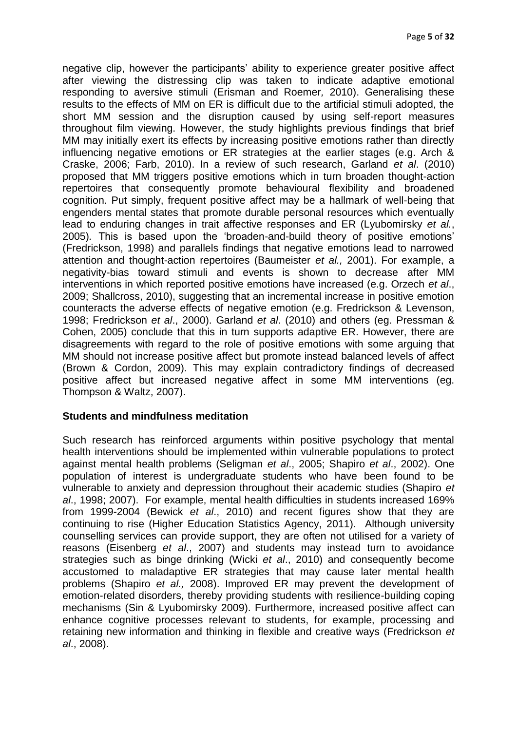negative clip, however the participants' ability to experience greater positive affect after viewing the distressing clip was taken to indicate adaptive emotional responding to aversive stimuli (Erisman and Roemer*,* 2010). Generalising these results to the effects of MM on ER is difficult due to the artificial stimuli adopted, the short MM session and the disruption caused by using self-report measures throughout film viewing. However, the study highlights previous findings that brief MM may initially exert its effects by increasing positive emotions rather than directly influencing negative emotions or ER strategies at the earlier stages (e.g. Arch & Craske, 2006; Farb, 2010). In a review of such research, Garland *et al*. (2010) proposed that MM triggers positive emotions which in turn broaden thought-action repertoires that consequently promote behavioural flexibility and broadened cognition. Put simply, frequent positive affect may be a hallmark of well-being that engenders mental states that promote durable personal resources which eventually lead to enduring changes in trait affective responses and ER (Lyubomirsky *et al.*, 2005)*.* This is based upon the 'broaden-and-build theory of positive emotions' (Fredrickson, 1998) and parallels findings that negative emotions lead to narrowed attention and thought-action repertoires (Baumeister *et al.,* 2001). For example, a negativity-bias toward stimuli and events is shown to decrease after MM interventions in which reported positive emotions have increased (e.g. Orzech *et al*., 2009; Shallcross, 2010), suggesting that an incremental increase in positive emotion counteracts the adverse effects of negative emotion (e.g. Fredrickson & Levenson, 1998; Fredrickson *et al*., 2000). Garland *et al*. (2010) and others (eg. Pressman & Cohen, 2005) conclude that this in turn supports adaptive ER. However, there are disagreements with regard to the role of positive emotions with some arguing that MM should not increase positive affect but promote instead balanced levels of affect (Brown & Cordon, 2009). This may explain contradictory findings of decreased positive affect but increased negative affect in some MM interventions (eg. Thompson & Waltz, 2007).

#### **Students and mindfulness meditation**

Such research has reinforced arguments within positive psychology that mental health interventions should be implemented within vulnerable populations to protect against mental health problems (Seligman *et al*., 2005; Shapiro *et al*., 2002). One population of interest is undergraduate students who have been found to be vulnerable to anxiety and depression throughout their academic studies (Shapiro *et al*., 1998; 2007). For example, mental health difficulties in students increased 169% from 1999-2004 (Bewick *et al*., 2010) and recent figures show that they are continuing to rise (Higher Education Statistics Agency, 2011). Although university counselling services can provide support, they are often not utilised for a variety of reasons (Eisenberg *et al*., 2007) and students may instead turn to avoidance strategies such as binge drinking (Wicki *et al*., 2010) and consequently become accustomed to maladaptive ER strategies that may cause later mental health problems (Shapiro *et al.,* 2008). Improved ER may prevent the development of emotion-related disorders, thereby providing students with resilience-building coping mechanisms (Sin & Lyubomirsky 2009). Furthermore, increased positive affect can enhance cognitive processes relevant to students, for example, processing and retaining new information and thinking in flexible and creative ways (Fredrickson *et al*., 2008).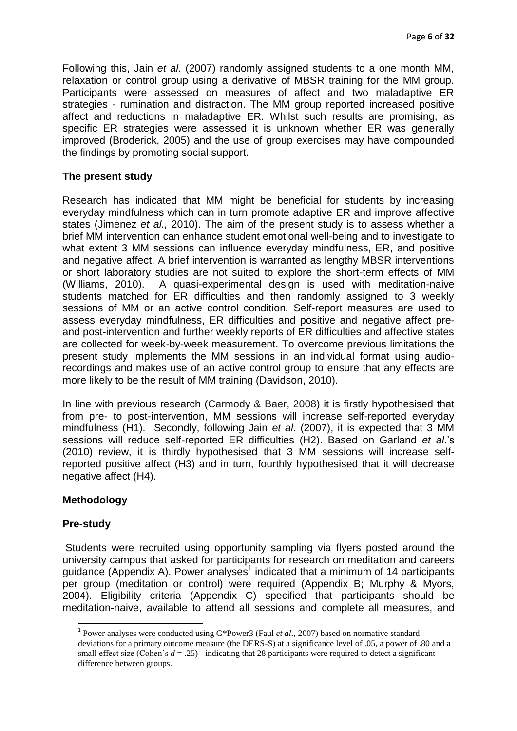Following this, Jain *et al.* (2007) randomly assigned students to a one month MM, relaxation or control group using a derivative of MBSR training for the MM group. Participants were assessed on measures of affect and two maladaptive ER strategies - rumination and distraction. The MM group reported increased positive affect and reductions in maladaptive ER. Whilst such results are promising, as specific ER strategies were assessed it is unknown whether ER was generally improved (Broderick, 2005) and the use of group exercises may have compounded the findings by promoting social support.

# **The present study**

Research has indicated that MM might be beneficial for students by increasing everyday mindfulness which can in turn promote adaptive ER and improve affective states (Jimenez *et al.,* 2010). The aim of the present study is to assess whether a brief MM intervention can enhance student emotional well-being and to investigate to what extent 3 MM sessions can influence everyday mindfulness, ER, and positive and negative affect. A brief intervention is warranted as lengthy MBSR interventions or short laboratory studies are not suited to explore the short-term effects of MM (Williams, 2010). A quasi-experimental design is used with meditation-naive students matched for ER difficulties and then randomly assigned to 3 weekly sessions of MM or an active control condition*.* Self-report measures are used to assess everyday mindfulness, ER difficulties and positive and negative affect preand post-intervention and further weekly reports of ER difficulties and affective states are collected for week-by-week measurement. To overcome previous limitations the present study implements the MM sessions in an individual format using audiorecordings and makes use of an active control group to ensure that any effects are more likely to be the result of MM training (Davidson, 2010).

In line with previous research (Carmody & Baer, 2008) it is firstly hypothesised that from pre- to post-intervention, MM sessions will increase self-reported everyday mindfulness (H1). Secondly, following Jain *et al*. (2007), it is expected that 3 MM sessions will reduce self-reported ER difficulties (H2). Based on Garland *et al*.'s (2010) review, it is thirdly hypothesised that 3 MM sessions will increase selfreported positive affect (H3) and in turn, fourthly hypothesised that it will decrease negative affect (H4).

# **Methodology**

# **Pre-study**

 $\overline{a}$ 

Students were recruited using opportunity sampling via flyers posted around the university campus that asked for participants for research on meditation and careers guidance (Appendix A). Power analyses<sup>1</sup> indicated that a minimum of 14 participants per group (meditation or control) were required (Appendix B; Murphy & Myors, 2004). Eligibility criteria (Appendix C) specified that participants should be meditation-naive, available to attend all sessions and complete all measures, and

<sup>&</sup>lt;sup>1</sup> Power analyses were conducted using G\*Power3 (Faul *et al.*, 2007) based on normative standard deviations for a primary outcome measure (the DERS-S) at a significance level of .05, a power of .80 and a small effect size (Cohen's  $d = .25$ ) - indicating that 28 participants were required to detect a significant difference between groups.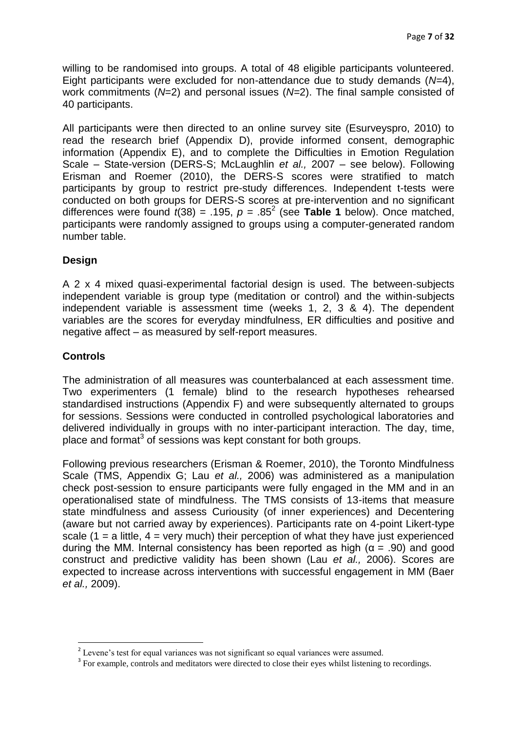willing to be randomised into groups. A total of 48 eligible participants volunteered. Eight participants were excluded for non-attendance due to study demands (*N=*4), work commitments (*N*=2) and personal issues (*N=*2). The final sample consisted of 40 participants.

All participants were then directed to an online survey site (Esurveyspro, 2010) to read the research brief (Appendix D), provide informed consent, demographic information (Appendix E), and to complete the Difficulties in Emotion Regulation Scale – State-version (DERS-S; McLaughlin *et al.,* 2007 – see below). Following Erisman and Roemer (2010), the DERS-S scores were stratified to match participants by group to restrict pre-study differences. Independent t-tests were conducted on both groups for DERS-S scores at pre-intervention and no significant differences were found  $t(38) = .195$ ,  $p = .85<sup>2</sup>$  (see **Table 1** below). Once matched, participants were randomly assigned to groups using a computer-generated random number table.

# **Design**

A 2 x 4 mixed quasi-experimental factorial design is used. The between-subjects independent variable is group type (meditation or control) and the within-subjects independent variable is assessment time (weeks 1, 2, 3 & 4). The dependent variables are the scores for everyday mindfulness, ER difficulties and positive and negative affect – as measured by self-report measures.

# **Controls**

 $\overline{a}$ 

The administration of all measures was counterbalanced at each assessment time. Two experimenters (1 female) blind to the research hypotheses rehearsed standardised instructions (Appendix F) and were subsequently alternated to groups for sessions. Sessions were conducted in controlled psychological laboratories and delivered individually in groups with no inter-participant interaction. The day, time, place and format<sup>3</sup> of sessions was kept constant for both groups.

Following previous researchers (Erisman & Roemer, 2010), the Toronto Mindfulness Scale (TMS, Appendix G; Lau *et al.,* 2006) was administered as a manipulation check post-session to ensure participants were fully engaged in the MM and in an operationalised state of mindfulness. The TMS consists of 13-items that measure state mindfulness and assess Curiousity (of inner experiences) and Decentering (aware but not carried away by experiences). Participants rate on 4-point Likert-type scale  $(1 = a$  little,  $4 = \text{very much}$  their perception of what they have just experienced during the MM. Internal consistency has been reported as high ( $\alpha = .90$ ) and good construct and predictive validity has been shown (Lau *et al.,* 2006). Scores are expected to increase across interventions with successful engagement in MM (Baer *et al.,* 2009).

 $2^{2}$  Levene's test for equal variances was not significant so equal variances were assumed.

<sup>&</sup>lt;sup>3</sup> For example, controls and meditators were directed to close their eyes whilst listening to recordings.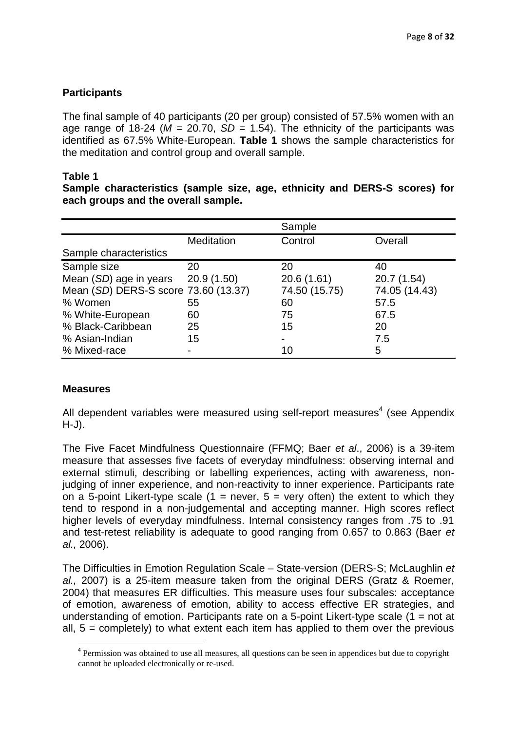# **Participants**

The final sample of 40 participants (20 per group) consisted of 57.5% women with an age range of 18-24 ( $M = 20.70$ ,  $SD = 1.54$ ). The ethnicity of the participants was identified as 67.5% White-European. **Table 1** shows the sample characteristics for the meditation and control group and overall sample.

### **Table 1**

**Sample characteristics (sample size, age, ethnicity and DERS-S scores) for each groups and the overall sample.**

|                                       |            | Sample        |               |
|---------------------------------------|------------|---------------|---------------|
|                                       | Meditation | Control       | Overall       |
| Sample characteristics                |            |               |               |
| Sample size                           | 20         | 20            | 40            |
| Mean $(SD)$ age in years $20.9(1.50)$ |            | 20.6(1.61)    | 20.7 (1.54)   |
| Mean (SD) DERS-S score 73.60 (13.37)  |            | 74.50 (15.75) | 74.05 (14.43) |
| % Women                               | 55         | 60            | 57.5          |
| % White-European                      | 60         | 75            | 67.5          |
| % Black-Caribbean                     | 25         | 15            | 20            |
| % Asian-Indian                        | 15         |               | 7.5           |
| % Mixed-race                          |            | 10            | 5             |

# **Measures**

 $\overline{a}$ 

All dependent variables were measured using self-report measures<sup>4</sup> (see Appendix H-J).

The Five Facet Mindfulness Questionnaire (FFMQ; Baer *et al*., 2006) is a 39-item measure that assesses five facets of everyday mindfulness: observing internal and external stimuli, describing or labelling experiences, acting with awareness, nonjudging of inner experience, and non-reactivity to inner experience. Participants rate on a 5-point Likert-type scale  $(1 =$  never,  $5 =$  very often) the extent to which they tend to respond in a non-judgemental and accepting manner. High scores reflect higher levels of everyday mindfulness. Internal consistency ranges from .75 to .91 and test-retest reliability is adequate to good ranging from 0.657 to 0.863 (Baer *et al.,* 2006).

The Difficulties in Emotion Regulation Scale – State-version (DERS-S; McLaughlin *et al.,* 2007) is a 25-item measure taken from the original DERS (Gratz & Roemer, 2004) that measures ER difficulties. This measure uses four subscales: acceptance of emotion, awareness of emotion, ability to access effective ER strategies, and understanding of emotion. Participants rate on a 5-point Likert-type scale  $(1 = not at$ all, 5 = completely) to what extent each item has applied to them over the previous

<sup>&</sup>lt;sup>4</sup> Permission was obtained to use all measures, all questions can be seen in appendices but due to copyright cannot be uploaded electronically or re-used.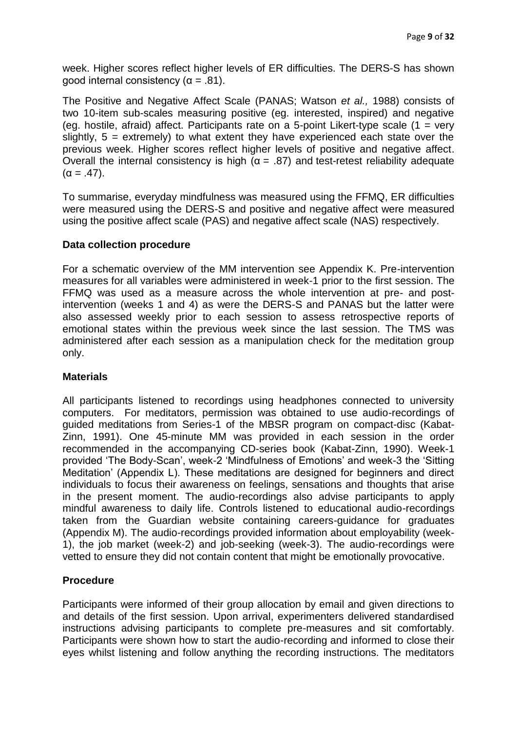week. Higher scores reflect higher levels of ER difficulties. The DERS-S has shown good internal consistency ( $\alpha$  = .81).

The Positive and Negative Affect Scale (PANAS; Watson *et al.,* 1988) consists of two 10-item sub-scales measuring positive (eg. interested, inspired) and negative (eg. hostile, afraid) affect. Participants rate on a 5-point Likert-type scale  $(1 = \text{very}$ slightly,  $5 =$  extremely) to what extent they have experienced each state over the previous week. Higher scores reflect higher levels of positive and negative affect. Overall the internal consistency is high ( $α = .87$ ) and test-retest reliability adequate  $(\alpha = .47)$ .

To summarise, everyday mindfulness was measured using the FFMQ, ER difficulties were measured using the DERS-S and positive and negative affect were measured using the positive affect scale (PAS) and negative affect scale (NAS) respectively.

# **Data collection procedure**

For a schematic overview of the MM intervention see Appendix K. Pre-intervention measures for all variables were administered in week-1 prior to the first session. The FFMQ was used as a measure across the whole intervention at pre- and postintervention (weeks 1 and 4) as were the DERS-S and PANAS but the latter were also assessed weekly prior to each session to assess retrospective reports of emotional states within the previous week since the last session. The TMS was administered after each session as a manipulation check for the meditation group only.

# **Materials**

All participants listened to recordings using headphones connected to university computers. For meditators, permission was obtained to use audio-recordings of guided meditations from Series-1 of the MBSR program on compact-disc (Kabat-Zinn, 1991). One 45-minute MM was provided in each session in the order recommended in the accompanying CD-series book (Kabat-Zinn, 1990). Week-1 provided 'The Body-Scan', week-2 'Mindfulness of Emotions' and week-3 the 'Sitting Meditation' (Appendix L). These meditations are designed for beginners and direct individuals to focus their awareness on feelings, sensations and thoughts that arise in the present moment. The audio-recordings also advise participants to apply mindful awareness to daily life. Controls listened to educational audio-recordings taken from the Guardian website containing careers-guidance for graduates (Appendix M). The audio-recordings provided information about employability (week-1), the job market (week-2) and job-seeking (week-3). The audio-recordings were vetted to ensure they did not contain content that might be emotionally provocative.

# **Procedure**

Participants were informed of their group allocation by email and given directions to and details of the first session. Upon arrival, experimenters delivered standardised instructions advising participants to complete pre-measures and sit comfortably. Participants were shown how to start the audio-recording and informed to close their eyes whilst listening and follow anything the recording instructions. The meditators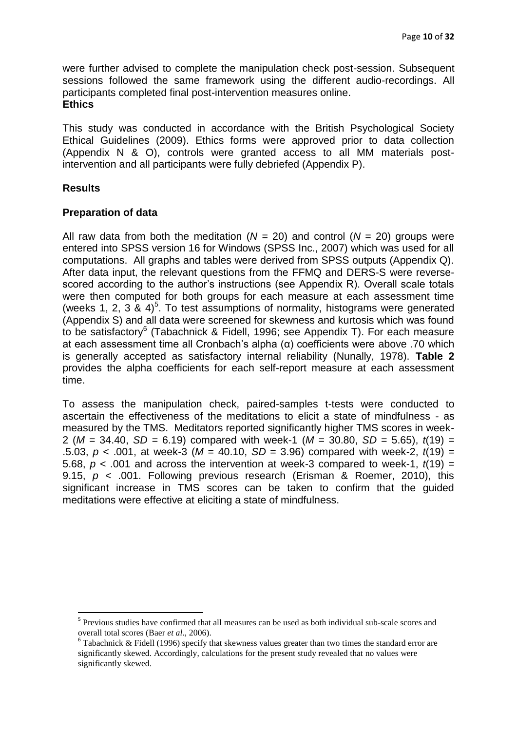were further advised to complete the manipulation check post-session. Subsequent sessions followed the same framework using the different audio-recordings. All participants completed final post-intervention measures online. **Ethics**

This study was conducted in accordance with the British Psychological Society Ethical Guidelines (2009). Ethics forms were approved prior to data collection (Appendix N & O), controls were granted access to all MM materials postintervention and all participants were fully debriefed (Appendix P).

### **Results**

 $\overline{a}$ 

### **Preparation of data**

All raw data from both the meditation ( $N = 20$ ) and control ( $N = 20$ ) groups were entered into SPSS version 16 for Windows (SPSS Inc., 2007) which was used for all computations. All graphs and tables were derived from SPSS outputs (Appendix Q). After data input, the relevant questions from the FFMQ and DERS-S were reversescored according to the author's instructions (see Appendix R). Overall scale totals were then computed for both groups for each measure at each assessment time (weeks 1, 2, 3 & 4)<sup>5</sup>. To test assumptions of normality, histograms were generated (Appendix S) and all data were screened for skewness and kurtosis which was found to be satisfactory<sup>6</sup> (Tabachnick & Fidell, 1996; see Appendix T). For each measure at each assessment time all Cronbach's alpha (α) coefficients were above .70 which is generally accepted as satisfactory internal reliability (Nunally, 1978). **Table 2**  provides the alpha coefficients for each self-report measure at each assessment time.

To assess the manipulation check, paired-samples t-tests were conducted to ascertain the effectiveness of the meditations to elicit a state of mindfulness - as measured by the TMS. Meditators reported significantly higher TMS scores in week-2 (*M* = 34.40, *SD* = 6.19) compared with week-1 (*M* = 30.80, *SD* = 5.65), *t*(19) = .5.03,  $p < .001$ , at week-3 ( $M = 40.10$ ,  $SD = 3.96$ ) compared with week-2,  $t(19) =$ 5.68,  $p < .001$  and across the intervention at week-3 compared to week-1,  $t(19) =$ 9.15, *p* < .001. Following previous research (Erisman & Roemer, 2010), this significant increase in TMS scores can be taken to confirm that the guided meditations were effective at eliciting a state of mindfulness.

<sup>&</sup>lt;sup>5</sup> Previous studies have confirmed that all measures can be used as both individual sub-scale scores and overall total scores (Baer *et al*., 2006).

 $6$  Tabachnick & Fidell (1996) specify that skewness values greater than two times the standard error are significantly skewed. Accordingly, calculations for the present study revealed that no values were significantly skewed.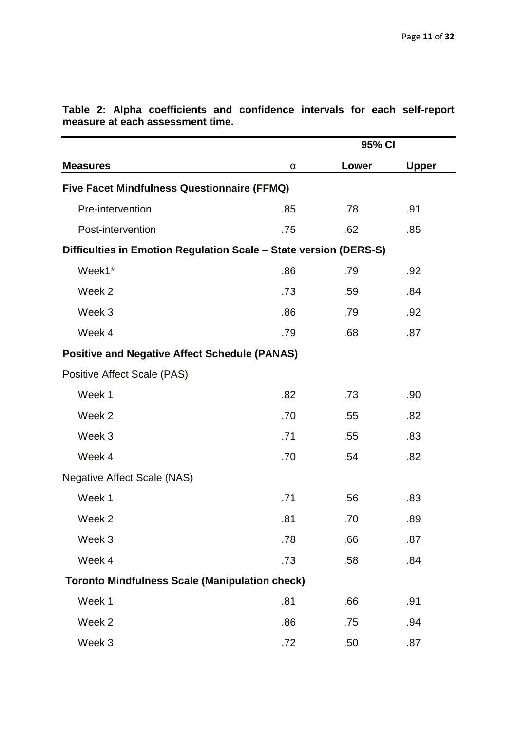|                                                                   |          | 95% CI |              |  |  |
|-------------------------------------------------------------------|----------|--------|--------------|--|--|
| <b>Measures</b>                                                   | $\alpha$ | Lower  | <b>Upper</b> |  |  |
| Five Facet Mindfulness Questionnaire (FFMQ)                       |          |        |              |  |  |
| Pre-intervention                                                  | .85      | .78    | .91          |  |  |
| Post-intervention                                                 | .75      | .62    | .85          |  |  |
| Difficulties in Emotion Regulation Scale - State version (DERS-S) |          |        |              |  |  |
| Week1*                                                            | .86      | .79    | .92          |  |  |
| Week 2                                                            | .73      | .59    | .84          |  |  |
| Week 3                                                            | .86      | .79    | .92          |  |  |
| Week 4                                                            | .79      | .68    | .87          |  |  |
| <b>Positive and Negative Affect Schedule (PANAS)</b>              |          |        |              |  |  |
| Positive Affect Scale (PAS)                                       |          |        |              |  |  |
| Week 1                                                            | .82      | .73    | .90          |  |  |
| Week 2                                                            | .70      | .55    | .82          |  |  |
| Week 3                                                            | .71      | .55    | .83          |  |  |
| Week 4                                                            | .70      | .54    | .82          |  |  |
| <b>Negative Affect Scale (NAS)</b>                                |          |        |              |  |  |
| Week 1                                                            | .71      | .56    | .83          |  |  |
| Week 2                                                            | .81      | .70    | .89          |  |  |
| Week 3                                                            | .78      | .66    | .87          |  |  |
| Week 4                                                            | .73      | .58    | .84          |  |  |
| <b>Toronto Mindfulness Scale (Manipulation check)</b>             |          |        |              |  |  |
| Week 1                                                            | .81      | .66    | .91          |  |  |
| Week 2                                                            | .86      | .75    | .94          |  |  |
| Week 3                                                            | .72      | .50    | .87          |  |  |

**Table 2: Alpha coefficients and confidence intervals for each self-report measure at each assessment time.**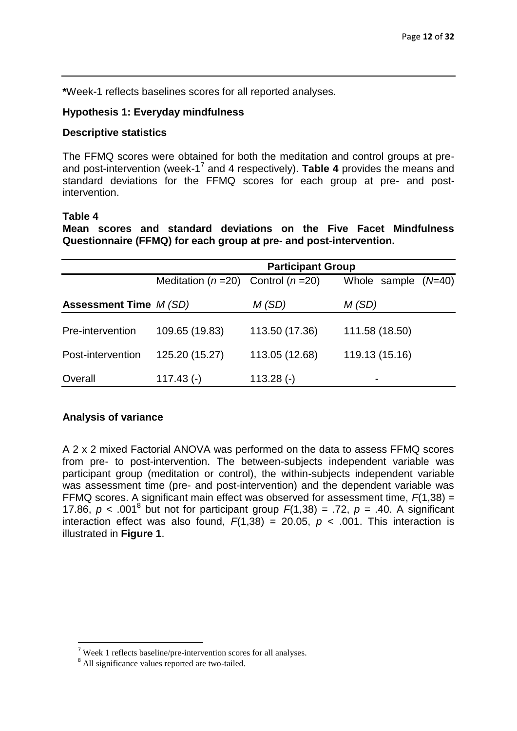**\***Week-1 reflects baselines scores for all reported analyses.

### **Hypothesis 1: Everyday mindfulness**

### **Descriptive statistics**

The FFMQ scores were obtained for both the meditation and control groups at preand post-intervention (week-1<sup>7</sup> and 4 respectively). Table 4 provides the means and standard deviations for the FFMQ scores for each group at pre- and postintervention.

#### **Table 4**

**Mean scores and standard deviations on the Five Facet Mindfulness Questionnaire (FFMQ) for each group at pre- and post-intervention.**

|                               | <b>Participant Group</b> |                                                                          |                |  |  |  |
|-------------------------------|--------------------------|--------------------------------------------------------------------------|----------------|--|--|--|
|                               |                          | Meditation ( $n = 20$ ) Control ( $n = 20$ )<br>$(N=40)$<br>Whole sample |                |  |  |  |
| <b>Assessment Time M (SD)</b> |                          | M(SD)                                                                    | M(SD)          |  |  |  |
|                               |                          |                                                                          |                |  |  |  |
| Pre-intervention              | 109.65 (19.83)           | 113.50 (17.36)                                                           | 111.58 (18.50) |  |  |  |
| Post-intervention             | 125.20 (15.27)           | 113.05 (12.68)                                                           | 119.13 (15.16) |  |  |  |
| Overall                       | $117.43$ (-)             | $113.28$ (-)                                                             |                |  |  |  |

# **Analysis of variance**

 $\overline{a}$ 

A 2 x 2 mixed Factorial ANOVA was performed on the data to assess FFMQ scores from pre- to post-intervention. The between-subjects independent variable was participant group (meditation or control), the within-subjects independent variable was assessment time (pre- and post-intervention) and the dependent variable was FFMQ scores. A significant main effect was observed for assessment time, *F*(1,38) = 17.86,  $p < .001^8$  but not for participant group  $F(1,38) = .72$ ,  $p = .40$ . A significant interaction effect was also found,  $F(1,38) = 20.05$ ,  $p < .001$ . This interaction is illustrated in **Figure 1**.

<sup>7</sup> Week 1 reflects baseline/pre-intervention scores for all analyses.

<sup>&</sup>lt;sup>8</sup> All significance values reported are two-tailed.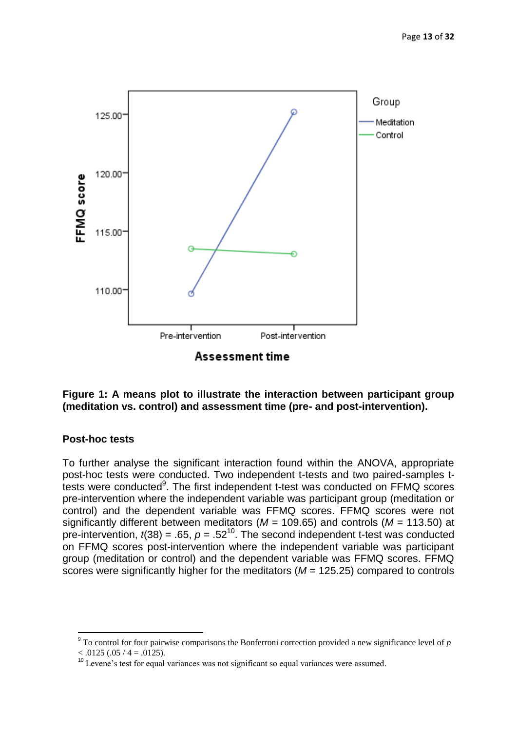

**Assessment time** 

# **Figure 1: A means plot to illustrate the interaction between participant group (meditation vs. control) and assessment time (pre- and post-intervention).**

#### **Post-hoc tests**

 $\overline{a}$ 

To further analyse the significant interaction found within the ANOVA, appropriate post-hoc tests were conducted. Two independent t-tests and two paired-samples ttests were conducted<sup>9</sup>. The first independent t-test was conducted on FFMQ scores pre-intervention where the independent variable was participant group (meditation or control) and the dependent variable was FFMQ scores. FFMQ scores were not significantly different between meditators (*M* = 109.65) and controls (*M* = 113.50) at pre-intervention,  $t(38) = .65$ ,  $p = .52^{10}$ . The second independent t-test was conducted on FFMQ scores post-intervention where the independent variable was participant group (meditation or control) and the dependent variable was FFMQ scores. FFMQ scores were significantly higher for the meditators (*M* = 125.25) compared to controls

<sup>9</sup> To control for four pairwise comparisons the Bonferroni correction provided a new significance level of *p*  $< .0125(.05 / 4 = .0125).$ 

<sup>&</sup>lt;sup>10</sup> Levene's test for equal variances was not significant so equal variances were assumed.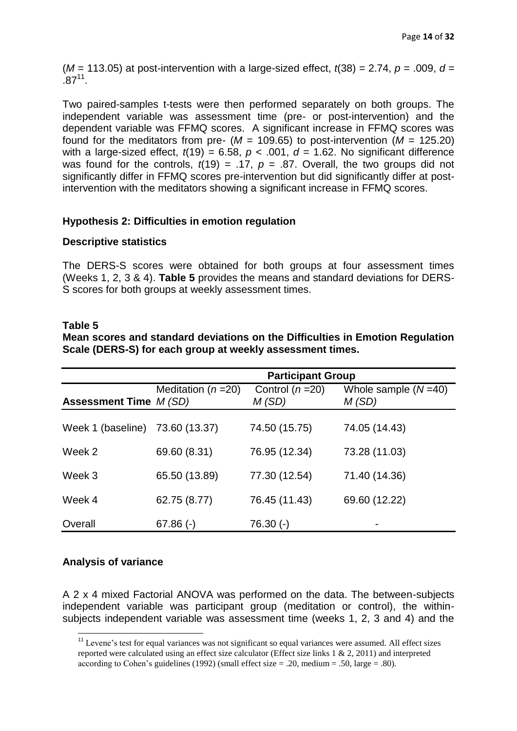$(M = 113.05)$  at post-intervention with a large-sized effect,  $t(38) = 2.74$ ,  $p = .009$ ,  $d =$  $.87^{11}$ .

Two paired-samples t-tests were then performed separately on both groups. The independent variable was assessment time (pre- or post-intervention) and the dependent variable was FFMQ scores. A significant increase in FFMQ scores was found for the meditators from pre-  $(M = 109.65)$  to post-intervention  $(M = 125.20)$ with a large-sized effect,  $t(19) = 6.58$ ,  $p < .001$ ,  $d = 1.62$ . No significant difference was found for the controls,  $t(19) = .17$ ,  $p = .87$ . Overall, the two groups did not significantly differ in FFMQ scores pre-intervention but did significantly differ at postintervention with the meditators showing a significant increase in FFMQ scores.

# **Hypothesis 2: Difficulties in emotion regulation**

### **Descriptive statistics**

The DERS-S scores were obtained for both groups at four assessment times (Weeks 1, 2, 3 & 4). **Table 5** provides the means and standard deviations for DERS-S scores for both groups at weekly assessment times.

#### **Table 5**

**Mean scores and standard deviations on the Difficulties in Emotion Regulation Scale (DERS-S) for each group at weekly assessment times.**

|                                 | <b>Participant Group</b> |                           |                                |  |
|---------------------------------|--------------------------|---------------------------|--------------------------------|--|
| <b>Assessment Time M (SD)</b>   | Meditation ( $n = 20$ )  | Control $(n=20)$<br>M(SD) | Whole sample $(N=40)$<br>M(SD) |  |
| Week 1 (baseline) 73.60 (13.37) |                          | 74.50 (15.75)             | 74.05 (14.43)                  |  |
| Week 2                          | 69.60 (8.31)             | 76.95 (12.34)             | 73.28 (11.03)                  |  |
| Week 3                          | 65.50 (13.89)            | 77.30 (12.54)             | 71.40 (14.36)                  |  |
| Week 4                          | 62.75 (8.77)             | 76.45 (11.43)             | 69.60 (12.22)                  |  |
| Overall                         | $67.86$ (-)              | 76.30 (-)                 |                                |  |

# **Analysis of variance**

 $\overline{a}$ 

A 2 x 4 mixed Factorial ANOVA was performed on the data. The between-subjects independent variable was participant group (meditation or control), the withinsubjects independent variable was assessment time (weeks 1, 2, 3 and 4) and the

<sup>&</sup>lt;sup>11</sup> Levene's test for equal variances was not significant so equal variances were assumed. All effect sizes reported were calculated using an effect size calculator (Effect size links 1 & 2, 2011) and interpreted according to Cohen's guidelines (1992) (small effect size  $= .20$ , medium  $= .50$ , large  $= .80$ ).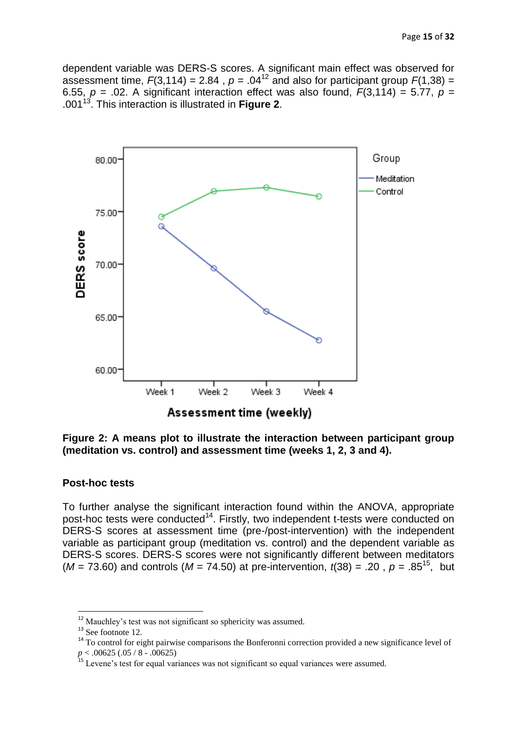dependent variable was DERS-S scores. A significant main effect was observed for assessment time,  $F(3,114) = 2.84$ ,  $p = .04^{12}$  and also for participant group  $F(1,38) =$ 6.55,  $p = 0.02$ . A significant interaction effect was also found,  $F(3.114) = 5.77$ ,  $p = 0.5$ .001<sup>13</sup>. This interaction is illustrated in **Figure 2**.



**Figure 2: A means plot to illustrate the interaction between participant group (meditation vs. control) and assessment time (weeks 1, 2, 3 and 4).**

#### **Post-hoc tests**

To further analyse the significant interaction found within the ANOVA, appropriate post-hoc tests were conducted<sup>14</sup>. Firstly, two independent t-tests were conducted on DERS-S scores at assessment time (pre-/post-intervention) with the independent variable as participant group (meditation vs. control) and the dependent variable as DERS-S scores. DERS-S scores were not significantly different between meditators  $(M = 73.60)$  and controls  $(M = 74.50)$  at pre-intervention,  $t(38) = .20$ ,  $p = .85^{15}$ , but

<sup>&</sup>lt;sup>12</sup> Mauchley's test was not significant so sphericity was assumed.

<sup>&</sup>lt;sup>13</sup> See footnote 12.

<sup>&</sup>lt;sup>14</sup> To control for eight pairwise comparisons the Bonferonni correction provided a new significance level of *p* < .00625 (.05 / 8 - .00625)

<sup>&</sup>lt;sup>15</sup> Levene's test for equal variances was not significant so equal variances were assumed.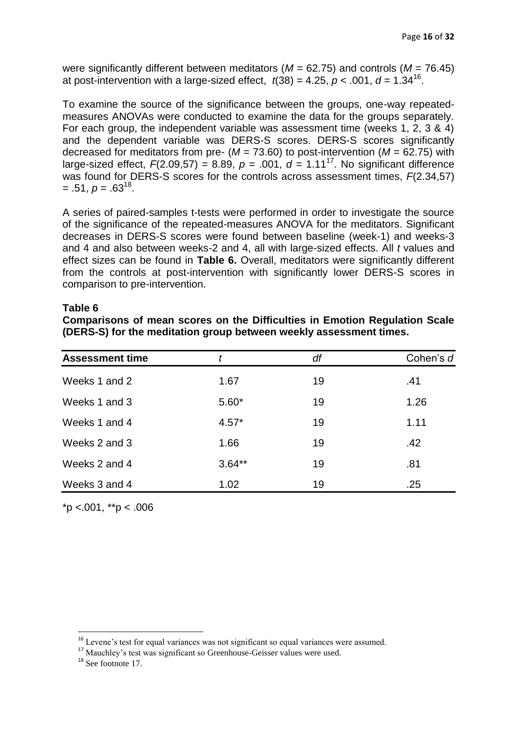were significantly different between meditators (*M* = 62.75) and controls (*M* = 76.45) at post-intervention with a large-sized effect,  $t(38) = 4.25, p < .001, d = 1.34^{16}$ .

To examine the source of the significance between the groups, one-way repeatedmeasures ANOVAs were conducted to examine the data for the groups separately. For each group, the independent variable was assessment time (weeks 1, 2, 3 & 4) and the dependent variable was DERS-S scores. DERS-S scores significantly decreased for meditators from pre-  $(M = 73.60)$  to post-intervention  $(M = 62.75)$  with large-sized effect,  $F(2.09,57) = 8.89$ ,  $p = .001$ ,  $d = 1.11^{17}$ . No significant difference was found for DERS-S scores for the controls across assessment times, *F*(2.34,57)  $= .51, p = .63^{18}.$ 

A series of paired-samples t-tests were performed in order to investigate the source of the significance of the repeated-measures ANOVA for the meditators. Significant decreases in DERS-S scores were found between baseline (week-1) and weeks-3 and 4 and also between weeks-2 and 4, all with large-sized effects. All *t* values and effect sizes can be found in **Table 6.** Overall, meditators were significantly different from the controls at post-intervention with significantly lower DERS-S scores in comparison to pre-intervention.

#### **Table 6**

|  |  | Comparisons of mean scores on the Difficulties in Emotion Regulation Scale |  |  |
|--|--|----------------------------------------------------------------------------|--|--|
|  |  | (DERS-S) for the meditation group between weekly assessment times.         |  |  |

| <b>Assessment time</b> |          | df | Cohen's d |
|------------------------|----------|----|-----------|
| Weeks 1 and 2          | 1.67     | 19 | .41       |
| Weeks 1 and 3          | $5.60*$  | 19 | 1.26      |
| Weeks 1 and 4          | $4.57*$  | 19 | 1.11      |
| Weeks 2 and 3          | 1.66     | 19 | .42       |
| Weeks 2 and 4          | $3.64**$ | 19 | .81       |
| Weeks 3 and 4          | 1.02     | 19 | .25       |

 $*$ p <.001,  $*$  $*$ p < .006

 $16$  Levene's test for equal variances was not significant so equal variances were assumed.

<sup>&</sup>lt;sup>17</sup> Mauchley's test was significant so Greenhouse-Geisser values were used.

<sup>&</sup>lt;sup>18</sup> See footnote 17.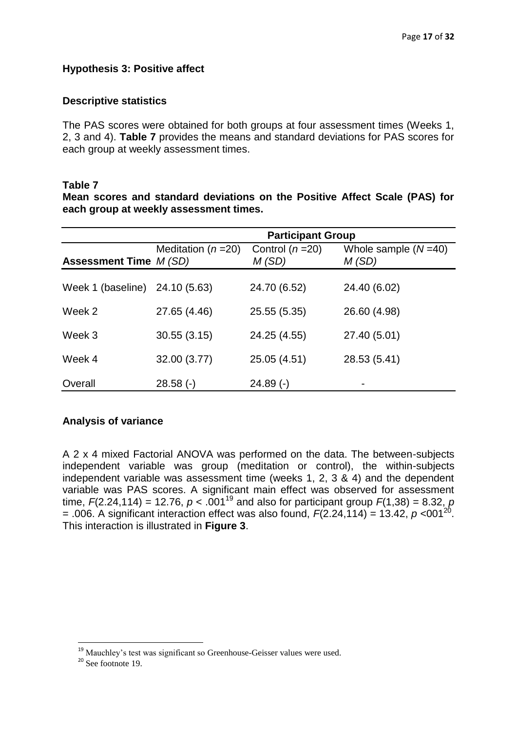# **Hypothesis 3: Positive affect**

### **Descriptive statistics**

The PAS scores were obtained for both groups at four assessment times (Weeks 1, 2, 3 and 4). **Table 7** provides the means and standard deviations for PAS scores for each group at weekly assessment times.

#### **Table 7**

**Mean scores and standard deviations on the Positive Affect Scale (PAS) for each group at weekly assessment times.**

|                                | <b>Participant Group</b> |                           |                                |  |
|--------------------------------|--------------------------|---------------------------|--------------------------------|--|
| <b>Assessment Time M (SD)</b>  | Meditation ( $n = 20$ )  | Control $(n=20)$<br>M(SD) | Whole sample $(N=40)$<br>M(SD) |  |
| Week 1 (baseline) 24.10 (5.63) |                          | 24.70 (6.52)              | 24.40 (6.02)                   |  |
| Week 2                         | 27.65 (4.46)             | 25.55 (5.35)              | 26.60 (4.98)                   |  |
| Week 3                         | 30.55(3.15)              | 24.25 (4.55)              | 27.40 (5.01)                   |  |
| Week 4                         | 32.00 (3.77)             | 25.05 (4.51)              | 28.53 (5.41)                   |  |
| Overall                        | $28.58$ (-)              | $24.89$ (-)               |                                |  |

# **Analysis of variance**

A 2 x 4 mixed Factorial ANOVA was performed on the data. The between-subjects independent variable was group (meditation or control), the within-subjects independent variable was assessment time (weeks 1, 2, 3 & 4) and the dependent variable was PAS scores. A significant main effect was observed for assessment time,  $F(2.24, 114) = 12.76$ ,  $p < .001^{19}$  and also for participant group  $F(1,38) = 8.32$ ,  $p$  $= .006$ . A significant interaction effect was also found,  $F(2.24, 114) = 13.42$ ,  $p < 001^{20}$ . This interaction is illustrated in **Figure 3**.

<sup>&</sup>lt;sup>19</sup> Mauchley's test was significant so Greenhouse-Geisser values were used.

 $20$  See footnote 19.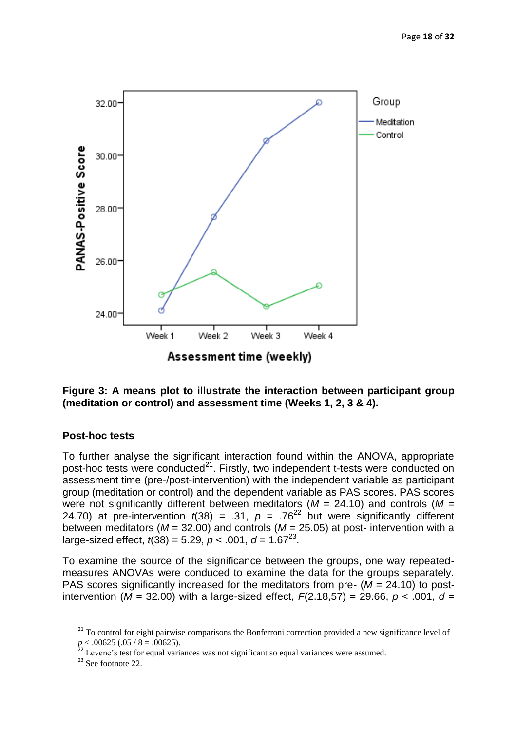

**Figure 3: A means plot to illustrate the interaction between participant group (meditation or control) and assessment time (Weeks 1, 2, 3 & 4).**

# **Post-hoc tests**

To further analyse the significant interaction found within the ANOVA, appropriate post-hoc tests were conducted<sup>21</sup>. Firstly, two independent t-tests were conducted on assessment time (pre-/post-intervention) with the independent variable as participant group (meditation or control) and the dependent variable as PAS scores. PAS scores were not significantly different between meditators (*M* = 24.10) and controls (*M* = 24.70) at pre-intervention  $t(38) = .31$ ,  $p = .76^{22}$  but were significantly different between meditators ( $M = 32.00$ ) and controls ( $M = 25.05$ ) at post- intervention with a large-sized effect,  $t(38) = 5.29$ ,  $p < .001$ ,  $d = 1.67^{23}$ .

To examine the source of the significance between the groups, one way repeatedmeasures ANOVAs were conduced to examine the data for the groups separately. PAS scores significantly increased for the meditators from pre- (*M* = 24.10) to postintervention ( $M = 32.00$ ) with a large-sized effect,  $F(2.18.57) = 29.66$ ,  $p < .001$ ,  $d =$ 

<sup>&</sup>lt;sup>21</sup> To control for eight pairwise comparisons the Bonferroni correction provided a new significance level of  $p < .00625$  (.05 / 8 = .00625).

 $22$  Levene's test for equal variances was not significant so equal variances were assumed.

 $23$  See footnote 22.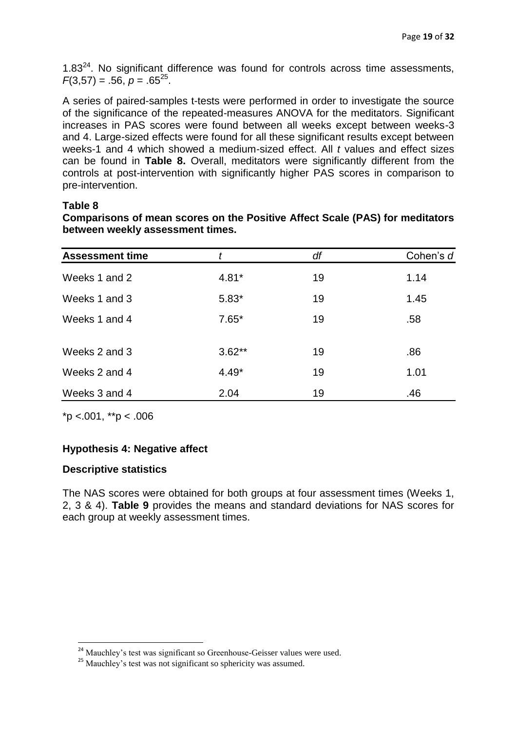$1.83<sup>24</sup>$ . No significant difference was found for controls across time assessments,  $F(3,57) = .56, p = .65^{25}$ .

A series of paired-samples t-tests were performed in order to investigate the source of the significance of the repeated-measures ANOVA for the meditators. Significant increases in PAS scores were found between all weeks except between weeks-3 and 4. Large-sized effects were found for all these significant results except between weeks-1 and 4 which showed a medium-sized effect. All *t* values and effect sizes can be found in **Table 8.** Overall, meditators were significantly different from the controls at post-intervention with significantly higher PAS scores in comparison to pre-intervention.

# **Table 8**

| Comparisons of mean scores on the Positive Affect Scale (PAS) for meditators |  |  |
|------------------------------------------------------------------------------|--|--|
| between weekly assessment times.                                             |  |  |

| <b>Assessment time</b> |          | df | Cohen's d |
|------------------------|----------|----|-----------|
| Weeks 1 and 2          | $4.81*$  | 19 | 1.14      |
| Weeks 1 and 3          | $5.83*$  | 19 | 1.45      |
| Weeks 1 and 4          | $7.65*$  | 19 | .58       |
| Weeks 2 and 3          | $3.62**$ | 19 | .86       |
| Weeks 2 and 4          | $4.49*$  | 19 | 1.01      |
| Weeks 3 and 4          | 2.04     | 19 | .46       |

 $*p$  <.001,  $*p$  < .006

# **Hypothesis 4: Negative affect**

# **Descriptive statistics**

 $\overline{a}$ 

The NAS scores were obtained for both groups at four assessment times (Weeks 1, 2, 3 & 4). **Table 9** provides the means and standard deviations for NAS scores for each group at weekly assessment times.

<sup>&</sup>lt;sup>24</sup> Mauchley's test was significant so Greenhouse-Geisser values were used.

<sup>&</sup>lt;sup>25</sup> Mauchley's test was not significant so sphericity was assumed.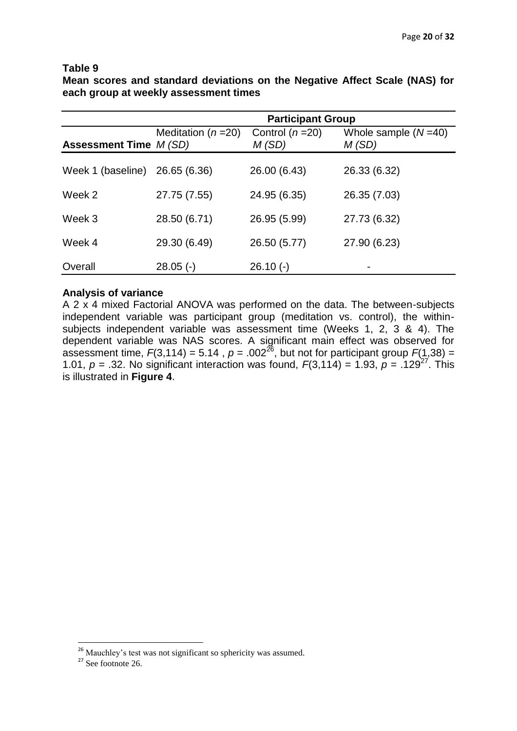#### **Table 9**

**Mean scores and standard deviations on the Negative Affect Scale (NAS) for each group at weekly assessment times**

|                         | <b>Participant Group</b> |                           |                                |  |
|-------------------------|--------------------------|---------------------------|--------------------------------|--|
| Assessment Time $M(SD)$ | Meditation ( $n = 20$ )  | Control $(n=20)$<br>M(SD) | Whole sample $(N=40)$<br>M(SD) |  |
| Week 1 (baseline)       | 26.65 (6.36)             | 26.00 (6.43)              | 26.33 (6.32)                   |  |
| Week 2                  | 27.75 (7.55)             | 24.95 (6.35)              | 26.35 (7.03)                   |  |
| Week 3                  | 28.50 (6.71)             | 26.95 (5.99)              | 27.73 (6.32)                   |  |
| Week 4                  | 29.30 (6.49)             | 26.50 (5.77)              | 27.90 (6.23)                   |  |
| Overall                 | $28.05$ (-)              | $26.10(-)$                |                                |  |

### **Analysis of variance**

A 2 x 4 mixed Factorial ANOVA was performed on the data. The between-subjects independent variable was participant group (meditation vs. control), the withinsubjects independent variable was assessment time (Weeks 1, 2, 3 & 4). The dependent variable was NAS scores. A significant main effect was observed for assessment time,  $F(3,114) = 5.14$ ,  $p = .002^{26}$ , but not for participant group  $F(1,38) =$ 1.01,  $p = 0.32$ . No significant interaction was found,  $F(3,114) = 1.93$ ,  $p = 0.129^{27}$ . This is illustrated in **Figure 4**.

<sup>&</sup>lt;sup>26</sup> Mauchley's test was not significant so sphericity was assumed.

 $27$  See footnote 26.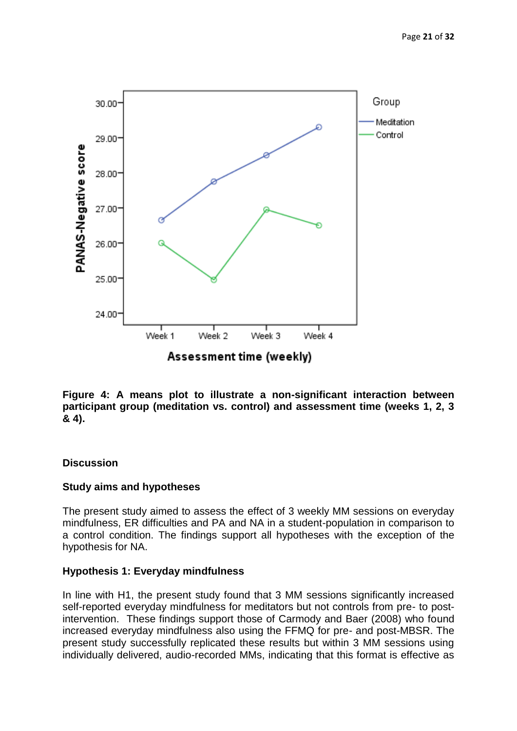

**Figure 4: A means plot to illustrate a non-significant interaction between participant group (meditation vs. control) and assessment time (weeks 1, 2, 3 & 4).**

# **Discussion**

# **Study aims and hypotheses**

The present study aimed to assess the effect of 3 weekly MM sessions on everyday mindfulness, ER difficulties and PA and NA in a student-population in comparison to a control condition. The findings support all hypotheses with the exception of the hypothesis for NA.

# **Hypothesis 1: Everyday mindfulness**

In line with H1, the present study found that 3 MM sessions significantly increased self-reported everyday mindfulness for meditators but not controls from pre- to postintervention. These findings support those of Carmody and Baer (2008) who found increased everyday mindfulness also using the FFMQ for pre- and post-MBSR. The present study successfully replicated these results but within 3 MM sessions using individually delivered, audio-recorded MMs, indicating that this format is effective as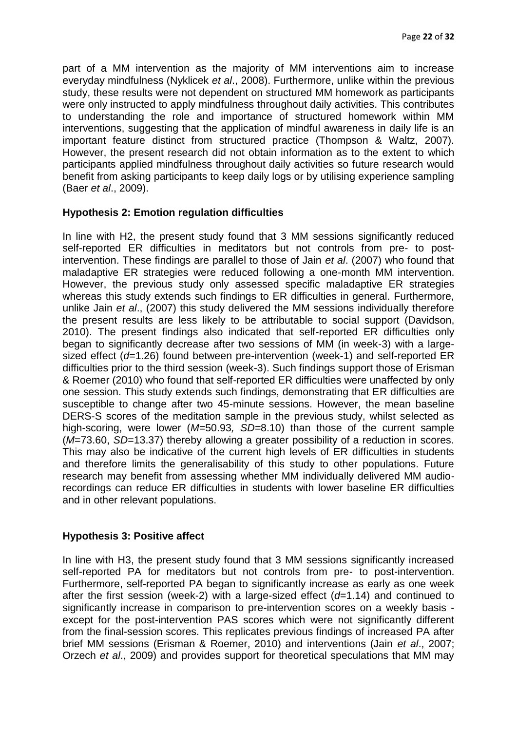part of a MM intervention as the majority of MM interventions aim to increase everyday mindfulness (Nyklicek *et al*., 2008). Furthermore, unlike within the previous study, these results were not dependent on structured MM homework as participants were only instructed to apply mindfulness throughout daily activities. This contributes to understanding the role and importance of structured homework within MM interventions, suggesting that the application of mindful awareness in daily life is an important feature distinct from structured practice (Thompson & Waltz, 2007). However, the present research did not obtain information as to the extent to which participants applied mindfulness throughout daily activities so future research would benefit from asking participants to keep daily logs or by utilising experience sampling (Baer *et al*., 2009).

# **Hypothesis 2: Emotion regulation difficulties**

In line with H2, the present study found that 3 MM sessions significantly reduced self-reported ER difficulties in meditators but not controls from pre- to postintervention. These findings are parallel to those of Jain *et al*. (2007) who found that maladaptive ER strategies were reduced following a one-month MM intervention. However, the previous study only assessed specific maladaptive ER strategies whereas this study extends such findings to ER difficulties in general. Furthermore, unlike Jain *et al*., (2007) this study delivered the MM sessions individually therefore the present results are less likely to be attributable to social support (Davidson, 2010). The present findings also indicated that self-reported ER difficulties only began to significantly decrease after two sessions of MM (in week-3) with a largesized effect (*d*=1.26) found between pre-intervention (week-1) and self-reported ER difficulties prior to the third session (week-3). Such findings support those of Erisman & Roemer (2010) who found that self-reported ER difficulties were unaffected by only one session. This study extends such findings, demonstrating that ER difficulties are susceptible to change after two 45-minute sessions. However, the mean baseline DERS-S scores of the meditation sample in the previous study, whilst selected as high-scoring, were lower (*M=*50.93*, SD=*8.10) than those of the current sample (*M*=73.60, *SD*=13.37) thereby allowing a greater possibility of a reduction in scores. This may also be indicative of the current high levels of ER difficulties in students and therefore limits the generalisability of this study to other populations. Future research may benefit from assessing whether MM individually delivered MM audiorecordings can reduce ER difficulties in students with lower baseline ER difficulties and in other relevant populations.

# **Hypothesis 3: Positive affect**

In line with H3, the present study found that 3 MM sessions significantly increased self-reported PA for meditators but not controls from pre- to post-intervention. Furthermore, self-reported PA began to significantly increase as early as one week after the first session (week-2) with a large-sized effect (*d*=1.14) and continued to significantly increase in comparison to pre-intervention scores on a weekly basis except for the post-intervention PAS scores which were not significantly different from the final-session scores. This replicates previous findings of increased PA after brief MM sessions (Erisman & Roemer, 2010) and interventions (Jain *et al*., 2007; Orzech *et al*., 2009) and provides support for theoretical speculations that MM may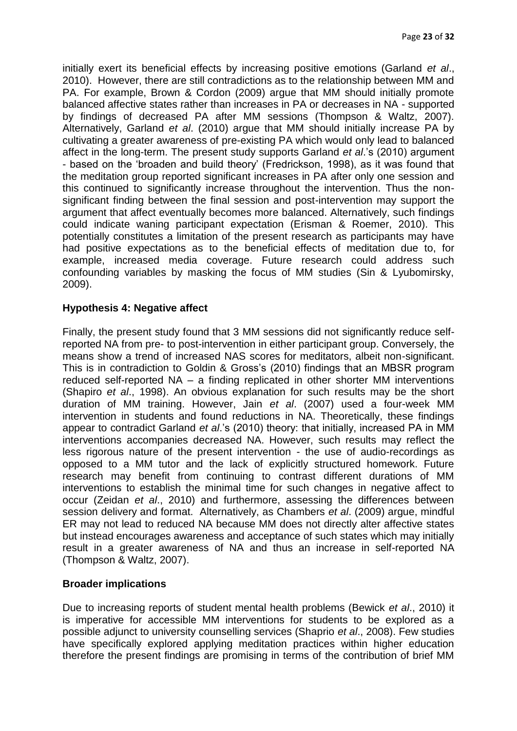initially exert its beneficial effects by increasing positive emotions (Garland *et al*., 2010). However, there are still contradictions as to the relationship between MM and PA. For example, Brown & Cordon (2009) argue that MM should initially promote balanced affective states rather than increases in PA or decreases in NA - supported by findings of decreased PA after MM sessions (Thompson & Waltz, 2007). Alternatively, Garland *et al*. (2010) argue that MM should initially increase PA by cultivating a greater awareness of pre-existing PA which would only lead to balanced affect in the long-term. The present study supports Garland *et al*.'s (2010) argument - based on the 'broaden and build theory' (Fredrickson, 1998), as it was found that the meditation group reported significant increases in PA after only one session and this continued to significantly increase throughout the intervention. Thus the nonsignificant finding between the final session and post-intervention may support the argument that affect eventually becomes more balanced. Alternatively, such findings could indicate waning participant expectation (Erisman & Roemer, 2010). This potentially constitutes a limitation of the present research as participants may have had positive expectations as to the beneficial effects of meditation due to, for example, increased media coverage. Future research could address such confounding variables by masking the focus of MM studies (Sin & Lyubomirsky, 2009).

# **Hypothesis 4: Negative affect**

Finally, the present study found that 3 MM sessions did not significantly reduce selfreported NA from pre- to post-intervention in either participant group. Conversely, the means show a trend of increased NAS scores for meditators, albeit non-significant. This is in contradiction to Goldin & Gross's (2010) findings that an MBSR program reduced self-reported NA – a finding replicated in other shorter MM interventions (Shapiro *et al*., 1998). An obvious explanation for such results may be the short duration of MM training. However, Jain *et al*. (2007) used a four-week MM intervention in students and found reductions in NA. Theoretically, these findings appear to contradict Garland *et al*.'s (2010) theory: that initially, increased PA in MM interventions accompanies decreased NA. However, such results may reflect the less rigorous nature of the present intervention - the use of audio-recordings as opposed to a MM tutor and the lack of explicitly structured homework. Future research may benefit from continuing to contrast different durations of MM interventions to establish the minimal time for such changes in negative affect to occur (Zeidan *et al*., 2010) and furthermore, assessing the differences between session delivery and format. Alternatively, as Chambers *et al*. (2009) argue, mindful ER may not lead to reduced NA because MM does not directly alter affective states but instead encourages awareness and acceptance of such states which may initially result in a greater awareness of NA and thus an increase in self-reported NA (Thompson & Waltz, 2007).

# **Broader implications**

Due to increasing reports of student mental health problems (Bewick *et al*., 2010) it is imperative for accessible MM interventions for students to be explored as a possible adjunct to university counselling services (Shaprio *et al*., 2008). Few studies have specifically explored applying meditation practices within higher education therefore the present findings are promising in terms of the contribution of brief MM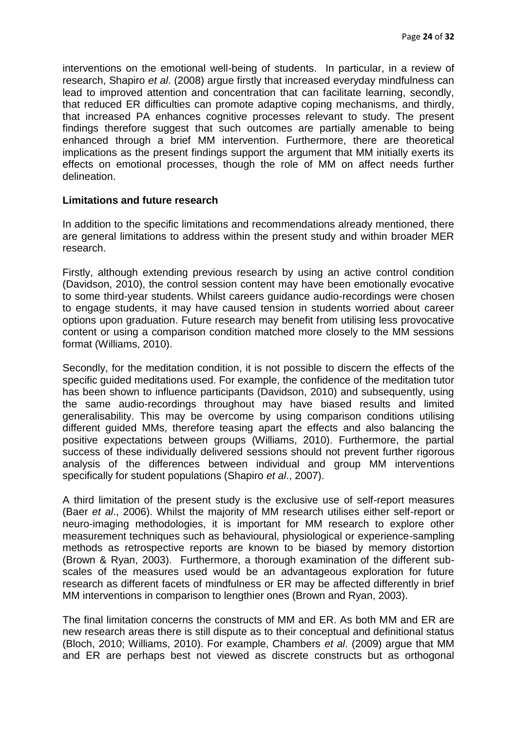interventions on the emotional well-being of students. In particular, in a review of research, Shapiro *et al*. (2008) argue firstly that increased everyday mindfulness can lead to improved attention and concentration that can facilitate learning, secondly, that reduced ER difficulties can promote adaptive coping mechanisms, and thirdly, that increased PA enhances cognitive processes relevant to study. The present findings therefore suggest that such outcomes are partially amenable to being enhanced through a brief MM intervention. Furthermore, there are theoretical implications as the present findings support the argument that MM initially exerts its effects on emotional processes, though the role of MM on affect needs further delineation.

#### **Limitations and future research**

In addition to the specific limitations and recommendations already mentioned, there are general limitations to address within the present study and within broader MER research.

Firstly, although extending previous research by using an active control condition (Davidson, 2010), the control session content may have been emotionally evocative to some third-year students. Whilst careers guidance audio-recordings were chosen to engage students, it may have caused tension in students worried about career options upon graduation. Future research may benefit from utilising less provocative content or using a comparison condition matched more closely to the MM sessions format (Williams, 2010).

Secondly, for the meditation condition, it is not possible to discern the effects of the specific guided meditations used. For example, the confidence of the meditation tutor has been shown to influence participants (Davidson, 2010) and subsequently, using the same audio-recordings throughout may have biased results and limited generalisability. This may be overcome by using comparison conditions utilising different guided MMs, therefore teasing apart the effects and also balancing the positive expectations between groups (Williams, 2010). Furthermore, the partial success of these individually delivered sessions should not prevent further rigorous analysis of the differences between individual and group MM interventions specifically for student populations (Shapiro *et al*., 2007).

A third limitation of the present study is the exclusive use of self-report measures (Baer *et al*., 2006). Whilst the majority of MM research utilises either self-report or neuro-imaging methodologies, it is important for MM research to explore other measurement techniques such as behavioural, physiological or experience-sampling methods as retrospective reports are known to be biased by memory distortion (Brown & Ryan, 2003). Furthermore, a thorough examination of the different subscales of the measures used would be an advantageous exploration for future research as different facets of mindfulness or ER may be affected differently in brief MM interventions in comparison to lengthier ones (Brown and Ryan, 2003).

The final limitation concerns the constructs of MM and ER. As both MM and ER are new research areas there is still dispute as to their conceptual and definitional status (Bloch, 2010; Williams, 2010). For example, Chambers *et al*. (2009) argue that MM and ER are perhaps best not viewed as discrete constructs but as orthogonal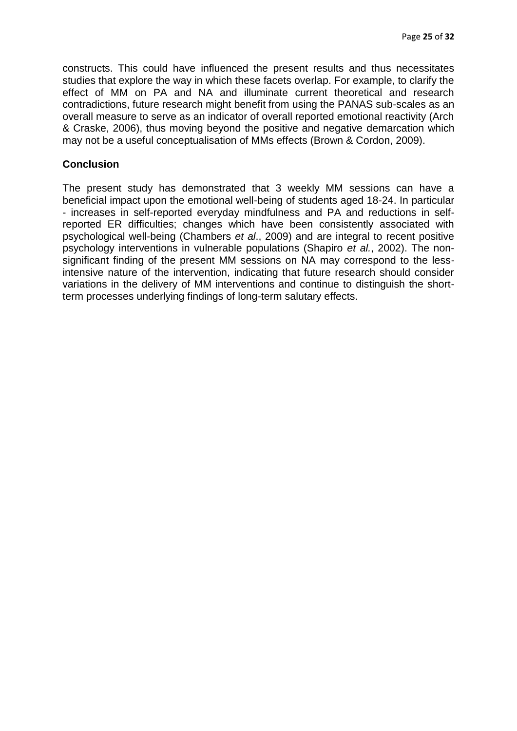constructs. This could have influenced the present results and thus necessitates studies that explore the way in which these facets overlap. For example, to clarify the effect of MM on PA and NA and illuminate current theoretical and research contradictions, future research might benefit from using the PANAS sub-scales as an overall measure to serve as an indicator of overall reported emotional reactivity (Arch & Craske, 2006), thus moving beyond the positive and negative demarcation which may not be a useful conceptualisation of MMs effects (Brown & Cordon, 2009).

### **Conclusion**

The present study has demonstrated that 3 weekly MM sessions can have a beneficial impact upon the emotional well-being of students aged 18-24. In particular - increases in self-reported everyday mindfulness and PA and reductions in selfreported ER difficulties; changes which have been consistently associated with psychological well-being (Chambers *et al*., 2009) and are integral to recent positive psychology interventions in vulnerable populations (Shapiro *et al.*, 2002). The nonsignificant finding of the present MM sessions on NA may correspond to the lessintensive nature of the intervention, indicating that future research should consider variations in the delivery of MM interventions and continue to distinguish the shortterm processes underlying findings of long-term salutary effects.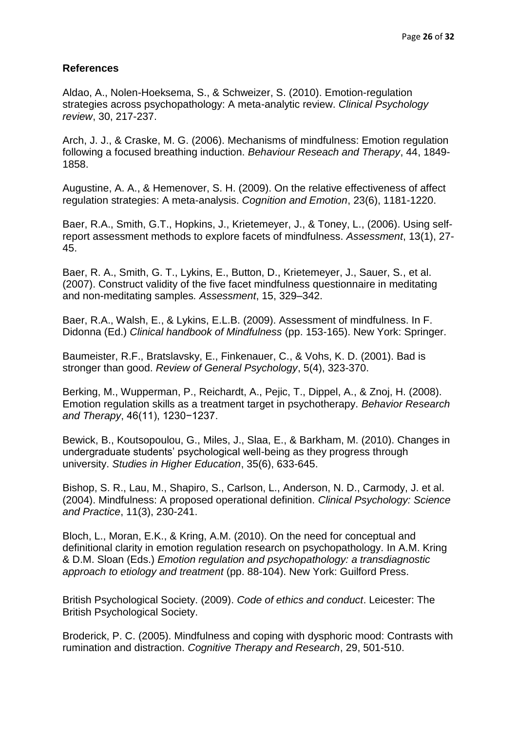### **References**

Aldao, A., Nolen-Hoeksema, S., & Schweizer, S. (2010). Emotion-regulation strategies across psychopathology: A meta-analytic review. *Clinical Psychology review*, 30, 217-237.

Arch, J. J., & Craske, M. G. (2006). Mechanisms of mindfulness: Emotion regulation following a focused breathing induction. *Behaviour Reseach and Therapy*, 44, 1849- 1858.

Augustine, A. A., & Hemenover, S. H. (2009). On the relative effectiveness of affect regulation strategies: A meta-analysis. *Cognition and Emotion*, 23(6), 1181-1220.

Baer, R.A., Smith, G.T., Hopkins, J., Krietemeyer, J., & Toney, L., (2006). Using selfreport assessment methods to explore facets of mindfulness. *Assessment*, 13(1), 27- 45.

Baer, R. A., Smith, G. T., Lykins, E., Button, D., Krietemeyer, J., Sauer, S., et al. (2007). Construct validity of the five facet mindfulness questionnaire in meditating and non-meditating samples*. Assessment*, 15, 329–342.

Baer, R.A., Walsh, E., & Lykins, E.L.B. (2009). Assessment of mindfulness. In F. Didonna (Ed.) *Clinical handbook of Mindfulness* (pp. 153-165). New York: Springer.

Baumeister, R.F., Bratslavsky, E., Finkenauer, C., & Vohs, K. D. (2001). Bad is stronger than good. *Review of General Psychology*, 5(4), 323-370.

Berking, M., Wupperman, P., Reichardt, A., Pejic, T., Dippel, A., & Znoj, H. (2008). Emotion regulation skills as a treatment target in psychotherapy. *Behavior Research and Therapy*, 46(11), 1230−1237.

Bewick, B., Koutsopoulou, G., Miles, J., Slaa, E., & Barkham, M. (2010). Changes in undergraduate students' psychological well-being as they progress through university. *Studies in Higher Education*, 35(6), 633-645.

Bishop, S. R., Lau, M., Shapiro, S., Carlson, L., Anderson, N. D., Carmody, J. et al. (2004). Mindfulness: A proposed operational definition. *Clinical Psychology: Science and Practice*, 11(3), 230-241.

Bloch, L., Moran, E.K., & Kring, A.M. (2010). On the need for conceptual and definitional clarity in emotion regulation research on psychopathology. In A.M. Kring & D.M. Sloan (Eds.) *Emotion regulation and psychopathology: a transdiagnostic approach to etiology and treatment* (pp. 88-104). New York: Guilford Press.

British Psychological Society. (2009). *Code of ethics and conduct*. Leicester: The British Psychological Society.

Broderick, P. C. (2005). Mindfulness and coping with dysphoric mood: Contrasts with rumination and distraction. *Cognitive Therapy and Research*, 29, 501-510.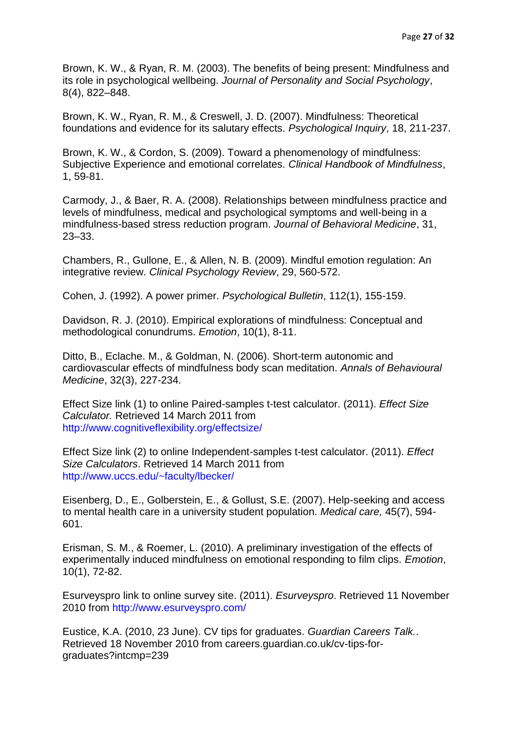Brown, K. W., & Ryan, R. M. (2003). The benefits of being present: Mindfulness and its role in psychological wellbeing. *Journal of Personality and Social Psychology*, 8(4), 822–848.

Brown, K. W., Ryan, R. M., & Creswell, J. D. (2007). Mindfulness: Theoretical foundations and evidence for its salutary effects. *Psychological Inquiry*, 18, 211-237.

Brown, K. W., & Cordon, S. (2009). Toward a phenomenology of mindfulness: Subjective Experience and emotional correlates. *Clinical Handbook of Mindfulness*, 1, 59-81.

Carmody, J., & Baer, R. A. (2008). Relationships between mindfulness practice and levels of mindfulness, medical and psychological symptoms and well-being in a mindfulness-based stress reduction program. *Journal of Behavioral Medicine*, 31, 23–33.

Chambers, R., Gullone, E., & Allen, N. B. (2009). Mindful emotion regulation: An integrative review. *Clinical Psychology Review*, 29, 560-572.

Cohen, J. (1992). A power primer. *Psychological Bulletin*, 112(1), 155-159.

Davidson, R. J. (2010). Empirical explorations of mindfulness: Conceptual and methodological conundrums. *Emotion*, 10(1), 8-11.

Ditto, B., Eclache. M., & Goldman, N. (2006). Short-term autonomic and cardiovascular effects of mindfulness body scan meditation. *Annals of Behavioural Medicine*, 32(3), 227-234.

Effect Size link (1) to online Paired-samples t-test calculator. (2011). *Effect Size Calculator.* Retrieved 14 March 2011 from <http://www.cognitiveflexibility.org/effectsize/>

Effect Size link (2) to online Independent-samples t-test calculator. (2011). *Effect Size Calculators*. Retrieved 14 March 2011 from <http://www.uccs.edu/~faculty/lbecker/>

Eisenberg, D., E., Golberstein, E., & Gollust, S.E. (2007). Help-seeking and access to mental health care in a university student population. *Medical care,* 45(7), 594- 601.

Erisman, S. M., & Roemer, L. (2010). A preliminary investigation of the effects of experimentally induced mindfulness on emotional responding to film clips. *Emotion*, 10(1), 72-82.

Esurveyspro link to online survey site. (2011). *Esurveyspro*. Retrieved 11 November 2010 from<http://www.esurveyspro.com/>

[Eustice,](http://www.guardian.co.uk/profile/kerry-ann-eustice) K.A. (2010, 23 June). CV tips for graduates. *Guardian Careers Talk.*. Retrieved 18 November 2010 from careers.guardian.co.uk/cv-tips-forgraduates?intcmp=239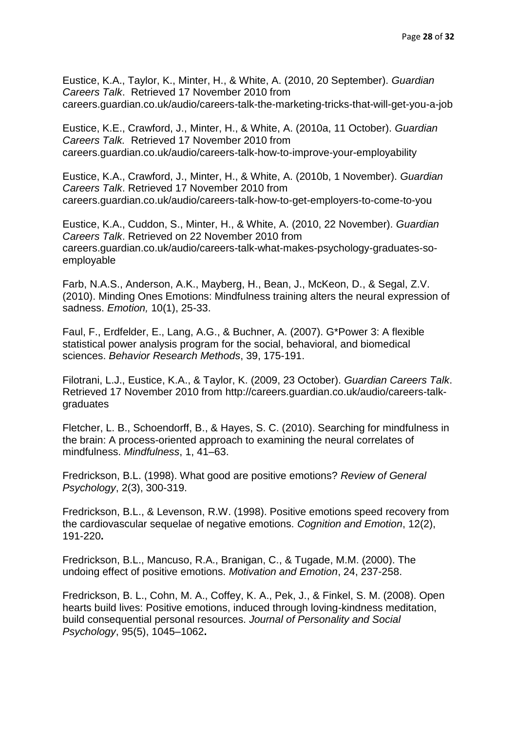Eustice, K.A., Taylor, K., Minter, H., & White, A. (2010, 20 September). *Guardian Careers Talk*. Retrieved 17 November 2010 from [careers.guardian.co.uk/audio/careers-talk-the-marketing-tricks-that-will-get-you-a-job](http://careers.guardian.co.uk/audio/careers-talk-the-marketing-tricks-that-will-get-you-a-job)

[Eustice,](http://www.guardian.co.uk/profile/kerry-ann-eustice) K.E., Crawford, J., [Minter,](http://www.guardian.co.uk/profile/harriet-minter) H., & [White,](http://www.guardian.co.uk/profile/alison-white) A. (2010a, 11 October). *Guardian Careers Talk.* Retrieved 17 November 2010 from careers.guardian.co.uk/audio/careers-talk-how-to-improve-your-employability

[Eustice,](http://www.guardian.co.uk/profile/kerry-ann-eustice) K.A., Crawford, J., [Minter,](http://www.guardian.co.uk/profile/harriet-minter) H., & White, A. (2010b, 1 November). *Guardian Careers Talk*. Retrieved 17 November 2010 from [careers.guardian.co.uk/audio/careers-talk-how-to-get-employers-to-come-to-you](http://careers.guardian.co.uk/audio/careers-talk-how-to-get-employers-to-come-to-you)

[Eustice,](http://www.guardian.co.uk/profile/kerry-ann-eustice) K.A., Cuddon, S., [Minter,](http://www.guardian.co.uk/profile/harriet-minter) H., & White, A. (2010, 22 November). *Guardian Careers Talk*. Retrieved on 22 November 2010 from [careers.guardian.co.uk/audio/careers-talk-what-makes-psychology-graduates-so](http://careers.guardian.co.uk/audio/careers-talk-what-makes-psychology-graduates-so-employable)[employable](http://careers.guardian.co.uk/audio/careers-talk-what-makes-psychology-graduates-so-employable)

Farb, N.A.S., Anderson, A.K., Mayberg, H., Bean, J., McKeon, D., & Segal, Z.V. (2010). Minding Ones Emotions: Mindfulness training alters the neural expression of sadness. *Emotion,* 10(1), 25-33.

Faul, F., Erdfelder, E., Lang, A.G., & Buchner, A. (2007). G\*Power 3: A flexible statistical power analysis program for the social, behavioral, and biomedical sciences. *Behavior Research Methods*, 39, 175-191.

[Filotrani,](http://www.guardian.co.uk/profile/laurajanefilotrani) L.J., [Eustice,](http://www.guardian.co.uk/profile/kerry-ann-eustice) K.A., & [Taylor,](http://www.guardian.co.uk/profile/katetaylor) K. (2009, 23 October). *Guardian Careers Talk*. Retrieved 17 November 2010 from [http://careers.guardian.co.uk/audio/careers-talk](http://careers.guardian.co.uk/audio/careers-talk-graduates)[graduates](http://careers.guardian.co.uk/audio/careers-talk-graduates)

Fletcher, L. B., Schoendorff, B., & Hayes, S. C. (2010). Searching for mindfulness in the brain: A process-oriented approach to examining the neural correlates of mindfulness. *Mindfulness*, 1, 41–63.

Fredrickson, B.L. (1998). What good are positive emotions? *Review of General Psychology*, 2(3), 300-319.

Fredrickson, B.L., & Levenson, R.W. (1998). Positive emotions speed recovery from the cardiovascular sequelae of negative emotions. *Cognition and Emotion*, 12(2), 191-220**.** 

Fredrickson, B.L., Mancuso, R.A., Branigan, C., & Tugade, M.M. (2000). The undoing effect of positive emotions. *Motivation and Emotion*, 24, 237-258.

Fredrickson, B. L., Cohn, M. A., Coffey, K. A., Pek, J., & Finkel, S. M. (2008). Open hearts build lives: Positive emotions, induced through loving-kindness meditation, build consequential personal resources. *Journal of Personality and Social Psychology*, 95(5), 1045–1062**.**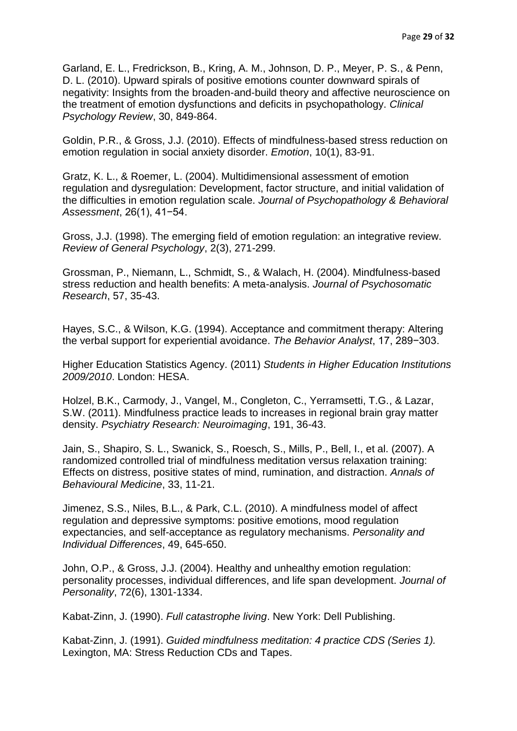Garland, E. L., Fredrickson, B., Kring, A. M., Johnson, D. P., Meyer, P. S., & Penn, D. L. (2010). Upward spirals of positive emotions counter downward spirals of negativity: Insights from the broaden-and-build theory and affective neuroscience on the treatment of emotion dysfunctions and deficits in psychopathology. *Clinical Psychology Review*, 30, 849-864.

Goldin, P.R., & Gross, J.J. (2010). Effects of mindfulness-based stress reduction on emotion regulation in social anxiety disorder. *Emotion*, 10(1), 83-91.

Gratz, K. L., & Roemer, L. (2004). Multidimensional assessment of emotion regulation and dysregulation: Development, factor structure, and initial validation of the difficulties in emotion regulation scale. *Journal of Psychopathology & Behavioral Assessment*, 26(1), 41−54.

Gross, J.J. (1998). The emerging field of emotion regulation: an integrative review. *Review of General Psychology*, 2(3), 271-299.

Grossman, P., Niemann, L., Schmidt, S., & Walach, H. (2004). Mindfulness-based stress reduction and health benefits: A meta-analysis. *Journal of Psychosomatic Research*, 57, 35-43.

Hayes, S.C., & Wilson, K.G. (1994). Acceptance and commitment therapy: Altering the verbal support for experiential avoidance. *The Behavior Analyst*, 17, 289−303.

Higher Education Statistics Agency. (2011) *Students in Higher Education Institutions 2009/2010*. London: HESA.

Holzel, B.K., Carmody, J., Vangel, M., Congleton, C., Yerramsetti, T.G., & Lazar, S.W. (2011). Mindfulness practice leads to increases in regional brain gray matter density. *Psychiatry Research: Neuroimaging*, 191, 36-43.

Jain, S., Shapiro, S. L., Swanick, S., Roesch, S., Mills, P., Bell, I., et al. (2007). A randomized controlled trial of mindfulness meditation versus relaxation training: Effects on distress, positive states of mind, rumination, and distraction. *Annals of Behavioural Medicine*, 33, 11-21.

Jimenez, S.S., Niles, B.L., & Park, C.L. (2010). A mindfulness model of affect regulation and depressive symptoms: positive emotions, mood regulation expectancies, and self-acceptance as regulatory mechanisms. *Personality and Individual Differences*, 49, 645-650.

John, O.P., & Gross, J.J. (2004). Healthy and unhealthy emotion regulation: personality processes, individual differences, and life span development. *Journal of Personality*, 72(6), 1301-1334.

Kabat-Zinn, J. (1990). *Full catastrophe living*. New York: Dell Publishing.

Kabat-Zinn, J. (1991). *Guided mindfulness meditation: 4 practice CDS (Series 1).* Lexington, MA: Stress Reduction CDs and Tapes.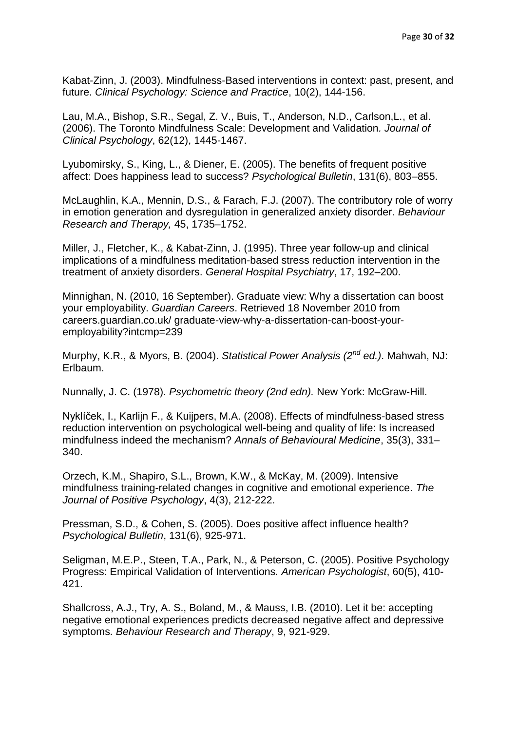Kabat-Zinn, J. (2003). Mindfulness-Based interventions in context: past, present, and future. *Clinical Psychology: Science and Practice*, 10(2), 144-156.

Lau, M.A., Bishop, S.R., Segal, Z. V., Buis, T., Anderson, N.D., Carlson,L., et al. (2006). The Toronto Mindfulness Scale: Development and Validation*. Journal of Clinical Psychology*, 62(12), 1445-1467.

Lyubomirsky, S., King, L., & Diener, E. (2005). The benefits of frequent positive affect: Does happiness lead to success? *Psychological Bulletin*, 131(6), 803–855.

McLaughlin, K.A., Mennin, D.S., & Farach, F.J. (2007). The contributory role of worry in emotion generation and dysregulation in generalized anxiety disorder. *Behaviour Research and Therapy,* 45, 1735–1752.

Miller, J., Fletcher, K., & Kabat-Zinn, J. (1995). Three year follow-up and clinical implications of a mindfulness meditation-based stress reduction intervention in the treatment of anxiety disorders. *General Hospital Psychiatry*, 17, 192–200.

[Minnighan,](http://www.guardian.co.uk/profile/nathan-minnigan) N. (2010, 16 September). Graduate view: Why a dissertation can boost your employability. *Guardian Careers*. Retrieved 18 November 2010 from careers.guardian.co.uk/ graduate-view-why-a-dissertation-can-boost-youremployability?intcmp=239

Murphy, K.R., & Myors, B. (2004). *Statistical Power Analysis (2nd ed.)*. Mahwah, NJ: Erlbaum.

Nunnally, J. C. (1978). *Psychometric theory (2nd edn).* New York: McGraw-Hill.

Nyklíček, I., Karlijn F., & Kuijpers, M.A. (2008). Effects of mindfulness-based stress reduction intervention on psychological well-being and quality of life: Is increased mindfulness indeed the mechanism? *Annals of Behavioural Medicine*, 35(3), 331– 340.

Orzech, K.M., Shapiro, S.L., Brown, K.W., & McKay, M. (2009). Intensive mindfulness training-related changes in cognitive and emotional experience. *The Journal of Positive Psychology*, 4(3), 212-222.

Pressman, S.D., & Cohen, S. (2005). Does positive affect influence health? *Psychological Bulletin*, 131(6), 925-971.

Seligman, M.E.P., Steen, T.A., Park, N., & Peterson, C. (2005). Positive Psychology Progress: Empirical Validation of Interventions. *American Psychologist*, 60(5), 410- 421.

Shallcross, A.J., Try, A. S., Boland, M., & Mauss, I.B. (2010). Let it be: accepting negative emotional experiences predicts decreased negative affect and depressive symptoms. *Behaviour Research and Therapy*, 9, 921-929.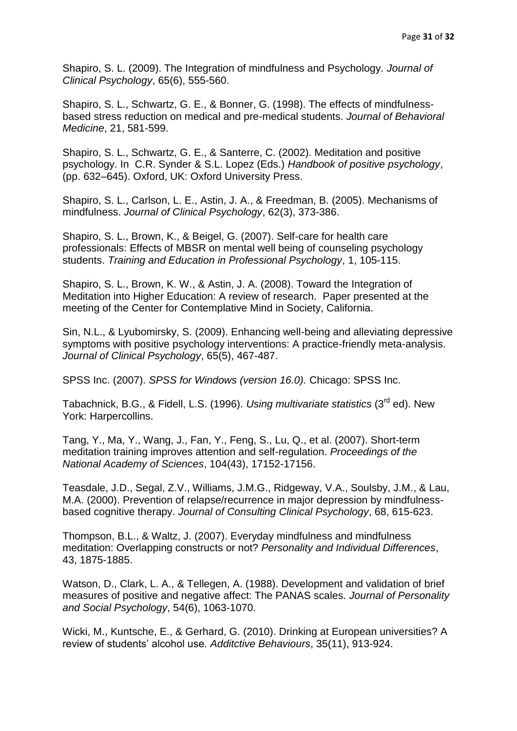Shapiro, S. L. (2009). The Integration of mindfulness and Psychology. *Journal of Clinical Psychology*, 65(6), 555-560.

Shapiro, S. L., Schwartz, G. E., & Bonner, G. (1998). The effects of mindfulnessbased stress reduction on medical and pre-medical students. *Journal of Behavioral Medicine*, 21, 581-599.

Shapiro, S. L., Schwartz, G. E., & Santerre, C. (2002). Meditation and positive psychology. In C.R. Synder & S.L. Lopez (Eds.) *Handbook of positive psychology*, (pp. 632–645). Oxford, UK: Oxford University Press.

Shapiro, S. L., Carlson, L. E., Astin, J. A., & Freedman, B. (2005). Mechanisms of mindfulness. *Journal of Clinical Psychology*, 62(3), 373-386.

Shapiro, S. L., Brown, K., & Beigel, G. (2007). Self-care for health care professionals: Effects of MBSR on mental well being of counseling psychology students. *Training and Education in Professional Psychology*, 1, 105-115.

Shapiro, S. L., Brown, K. W., & Astin, J. A. (2008). Toward the Integration of Meditation into Higher Education: A review of research. Paper presented at the meeting of the Center for Contemplative Mind in Society, California.

Sin, N.L., & Lyubomirsky, S. (2009). Enhancing well-being and alleviating depressive symptoms with positive psychology interventions: A practice-friendly meta-analysis. *Journal of Clinical Psychology*, 65(5), 467-487.

SPSS Inc. (2007). *SPSS for Windows (version 16.0).* Chicago: SPSS Inc.

Tabachnick, B.G., & Fidell, L.S. (1996). *Using multivariate statistics* (3rd ed). New York: Harpercollins.

Tang, Y., Ma, Y., Wang, J., Fan, Y., Feng, S., Lu, Q., et al. (2007). Short-term meditation training improves attention and self-regulation. *Proceedings of the National Academy of Sciences*, 104(43), 17152-17156.

Teasdale, J.D., Segal, Z.V., Williams, J.M.G., Ridgeway, V.A., Soulsby, J.M., & Lau, M.A. (2000). Prevention of relapse/recurrence in major depression by mindfulnessbased cognitive therapy. *Journal of Consulting Clinical Psychology*, 68, 615-623.

Thompson, B.L., & Waltz, J. (2007). Everyday mindfulness and mindfulness meditation: Overlapping constructs or not? *Personality and Individual Differences*, 43, 1875-1885.

Watson, D., Clark, L. A., & Tellegen, A. (1988). Development and validation of brief measures of positive and negative affect: The PANAS scales. *Journal of Personality and Social Psychology*, 54(6), 1063-1070.

Wicki, M., Kuntsche, E., & Gerhard, G. (2010). Drinking at European universities? A review of students' alcohol use*. Additctive Behaviours*, 35(11), 913-924.